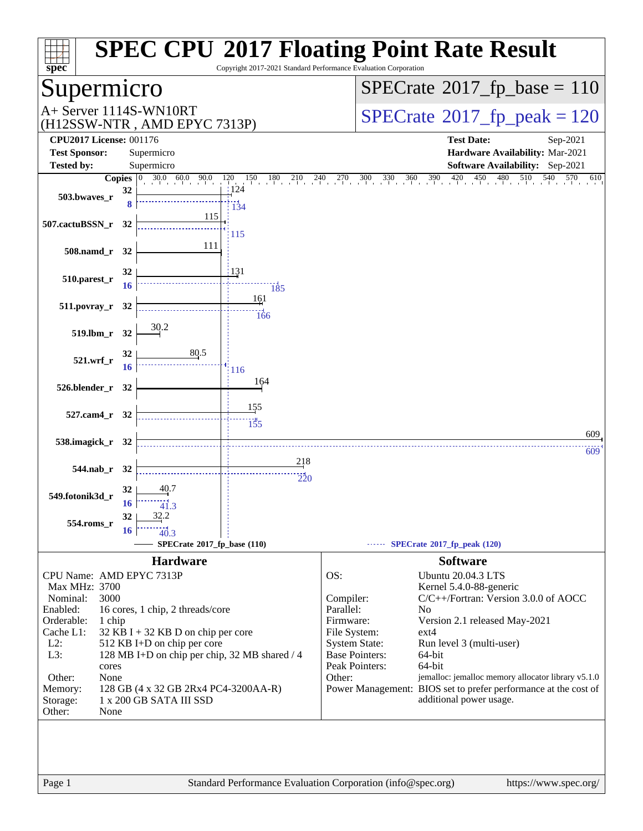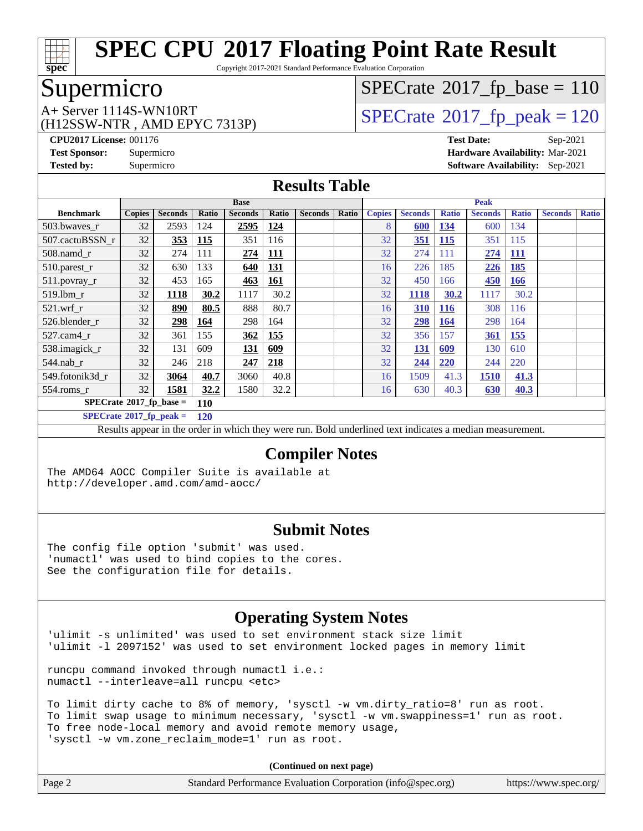

Copyright 2017-2021 Standard Performance Evaluation Corporation

## Supermicro

(H12SSW-NTR , AMD EPYC 7313P)

 $SPECTate$ <sup>®</sup>[2017\\_fp\\_base =](http://www.spec.org/auto/cpu2017/Docs/result-fields.html#SPECrate2017fpbase) 110

A+ Server 1114S-WN10RT<br>
(H12SSW-NTR AMD EPYC 7313P) [SPECrate](http://www.spec.org/auto/cpu2017/Docs/result-fields.html#SPECrate2017fppeak)®[2017\\_fp\\_peak = 1](http://www.spec.org/auto/cpu2017/Docs/result-fields.html#SPECrate2017fppeak)20

**[CPU2017 License:](http://www.spec.org/auto/cpu2017/Docs/result-fields.html#CPU2017License)** 001176 **[Test Date:](http://www.spec.org/auto/cpu2017/Docs/result-fields.html#TestDate)** Sep-2021 **[Test Sponsor:](http://www.spec.org/auto/cpu2017/Docs/result-fields.html#TestSponsor)** Supermicro **[Hardware Availability:](http://www.spec.org/auto/cpu2017/Docs/result-fields.html#HardwareAvailability)** Mar-2021 **[Tested by:](http://www.spec.org/auto/cpu2017/Docs/result-fields.html#Testedby)** Supermicro **[Software Availability:](http://www.spec.org/auto/cpu2017/Docs/result-fields.html#SoftwareAvailability)** Sep-2021

#### **[Results Table](http://www.spec.org/auto/cpu2017/Docs/result-fields.html#ResultsTable)**

|                                   | <b>Base</b>   |                |       |                |            | <b>Peak</b>    |       |               |                |              |                |              |                |              |
|-----------------------------------|---------------|----------------|-------|----------------|------------|----------------|-------|---------------|----------------|--------------|----------------|--------------|----------------|--------------|
| <b>Benchmark</b>                  | <b>Copies</b> | <b>Seconds</b> | Ratio | <b>Seconds</b> | Ratio      | <b>Seconds</b> | Ratio | <b>Copies</b> | <b>Seconds</b> | <b>Ratio</b> | <b>Seconds</b> | <b>Ratio</b> | <b>Seconds</b> | <b>Ratio</b> |
| 503.bwaves_r                      | 32            | 2593           | 124   | 2595           | 124        |                |       | 8             | 600            | 134          | 600            | 134          |                |              |
| 507.cactuBSSN r                   | 32            | 353            | 115   | 351            | 116        |                |       | 32            | 351            | <b>115</b>   | 351            | 115          |                |              |
| $508$ .namd $r$                   | 32            | 274            | 111   | 274            | <b>111</b> |                |       | 32            | 274            | 111          | 274            | <b>111</b>   |                |              |
| 510.parest_r                      | 32            | 630            | 133   | 640            | 131        |                |       | 16            | 226            | 185          | 226            | 185          |                |              |
| 511.povray_r                      | 32            | 453            | 165   | 463            | 161        |                |       | 32            | 450            | 166          | 450            | <b>166</b>   |                |              |
| 519.lbm r                         | 32            | 1118           | 30.2  | 1117           | 30.2       |                |       | 32            | 1118           | 30.2         | 1117           | 30.2         |                |              |
| $521$ .wrf r                      | 32            | 890            | 80.5  | 888            | 80.7       |                |       | 16            | 310            | <u>116</u>   | 308            | 116          |                |              |
| 526.blender r                     | 32            | 298            | 164   | 298            | 164        |                |       | 32            | 298            | <b>164</b>   | 298            | 164          |                |              |
| $527$ .cam $4r$                   | 32            | 361            | 155   | 362            | 155        |                |       | 32            | 356            | 157          | 361            | 155          |                |              |
| 538.imagick_r                     | 32            | 131            | 609   | 131            | 609        |                |       | 32            | 131            | 609          | 130            | 610          |                |              |
| $544$ .nab r                      | 32            | 246            | 218   | 247            | 218        |                |       | 32            | 244            | 220          | 244            | 220          |                |              |
| 549.fotonik3d_r                   | 32            | 3064           | 40.7  | 3060           | 40.8       |                |       | 16            | 1509           | 41.3         | 1510           | 41.3         |                |              |
| $554$ .roms_r                     | 32            | 1581           | 32.2  | 1580           | 32.2       |                |       | 16            | 630            | 40.3         | 630            | 40.3         |                |              |
| $SPECrate*2017_fp\_base =$<br>110 |               |                |       |                |            |                |       |               |                |              |                |              |                |              |
| $SPECrate^{\circ}2017$ fp peak =  |               |                | 120   |                |            |                |       |               |                |              |                |              |                |              |

Results appear in the [order in which they were run.](http://www.spec.org/auto/cpu2017/Docs/result-fields.html#RunOrder) Bold underlined text [indicates a median measurement.](http://www.spec.org/auto/cpu2017/Docs/result-fields.html#Median)

#### **[Compiler Notes](http://www.spec.org/auto/cpu2017/Docs/result-fields.html#CompilerNotes)**

The AMD64 AOCC Compiler Suite is available at <http://developer.amd.com/amd-aocc/>

#### **[Submit Notes](http://www.spec.org/auto/cpu2017/Docs/result-fields.html#SubmitNotes)**

The config file option 'submit' was used. 'numactl' was used to bind copies to the cores. See the configuration file for details.

#### **[Operating System Notes](http://www.spec.org/auto/cpu2017/Docs/result-fields.html#OperatingSystemNotes)**

'ulimit -s unlimited' was used to set environment stack size limit 'ulimit -l 2097152' was used to set environment locked pages in memory limit

runcpu command invoked through numactl i.e.: numactl --interleave=all runcpu <etc>

To limit dirty cache to 8% of memory, 'sysctl -w vm.dirty\_ratio=8' run as root. To limit swap usage to minimum necessary, 'sysctl -w vm.swappiness=1' run as root. To free node-local memory and avoid remote memory usage, 'sysctl -w vm.zone\_reclaim\_mode=1' run as root.

| Page 2 | Standard Performance Evaluation Corporation (info@spec.org) | https://www.spec.org/ |
|--------|-------------------------------------------------------------|-----------------------|
|--------|-------------------------------------------------------------|-----------------------|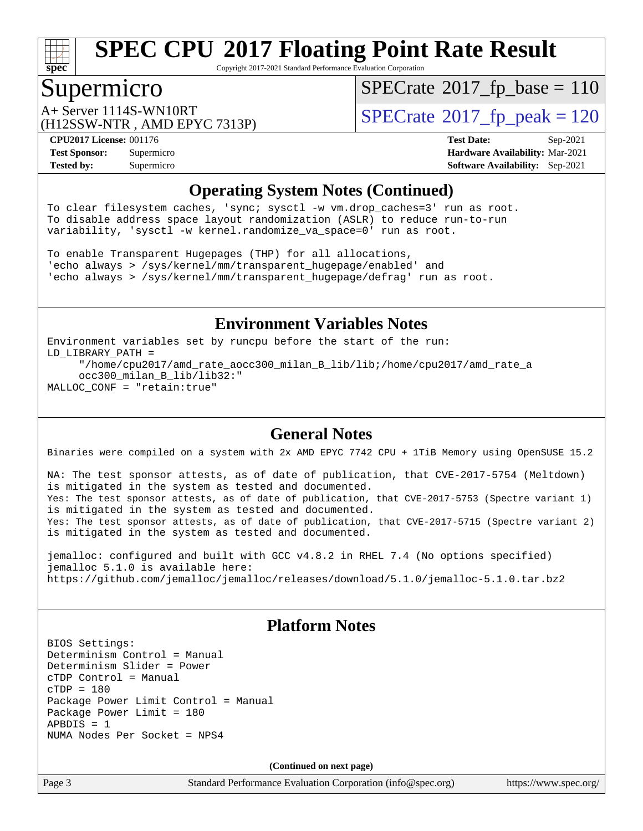

Copyright 2017-2021 Standard Performance Evaluation Corporation

#### Supermicro

 $SPECTate$ <sup>®</sup>[2017\\_fp\\_base =](http://www.spec.org/auto/cpu2017/Docs/result-fields.html#SPECrate2017fpbase) 110

(H12SSW-NTR , AMD EPYC 7313P)

A+ Server 1114S-WN10RT<br>  $\begin{array}{|l|l|}\n\hline\n\text{A+ Server} & \text{AMD FPVC 7313P}\n\hline\n\end{array}$   $\begin{array}{|l|l|}\n\hline\n\text{SPECrate} & \text{2017\_fp\_peak} = 120\n\end{array}$  $\begin{array}{|l|l|}\n\hline\n\text{SPECrate} & \text{2017\_fp\_peak} = 120\n\end{array}$  $\begin{array}{|l|l|}\n\hline\n\text{SPECrate} & \text{2017\_fp\_peak} = 120\n\end{array}$ 

**[Tested by:](http://www.spec.org/auto/cpu2017/Docs/result-fields.html#Testedby)** Supermicro **[Software Availability:](http://www.spec.org/auto/cpu2017/Docs/result-fields.html#SoftwareAvailability)** Sep-2021

**[CPU2017 License:](http://www.spec.org/auto/cpu2017/Docs/result-fields.html#CPU2017License)** 001176 **[Test Date:](http://www.spec.org/auto/cpu2017/Docs/result-fields.html#TestDate)** Sep-2021 **[Test Sponsor:](http://www.spec.org/auto/cpu2017/Docs/result-fields.html#TestSponsor)** Supermicro **[Hardware Availability:](http://www.spec.org/auto/cpu2017/Docs/result-fields.html#HardwareAvailability)** Mar-2021

#### **[Operating System Notes \(Continued\)](http://www.spec.org/auto/cpu2017/Docs/result-fields.html#OperatingSystemNotes)**

To clear filesystem caches, 'sync; sysctl -w vm.drop\_caches=3' run as root. To disable address space layout randomization (ASLR) to reduce run-to-run variability, 'sysctl -w kernel.randomize\_va\_space=0' run as root.

To enable Transparent Hugepages (THP) for all allocations, 'echo always > /sys/kernel/mm/transparent\_hugepage/enabled' and 'echo always > /sys/kernel/mm/transparent\_hugepage/defrag' run as root.

#### **[Environment Variables Notes](http://www.spec.org/auto/cpu2017/Docs/result-fields.html#EnvironmentVariablesNotes)**

Environment variables set by runcpu before the start of the run: LD\_LIBRARY\_PATH = "/home/cpu2017/amd\_rate\_aocc300\_milan\_B\_lib/lib;/home/cpu2017/amd\_rate\_a occ300\_milan\_B\_lib/lib32:" MALLOC\_CONF = "retain:true"

#### **[General Notes](http://www.spec.org/auto/cpu2017/Docs/result-fields.html#GeneralNotes)**

Binaries were compiled on a system with 2x AMD EPYC 7742 CPU + 1TiB Memory using OpenSUSE 15.2

NA: The test sponsor attests, as of date of publication, that CVE-2017-5754 (Meltdown) is mitigated in the system as tested and documented. Yes: The test sponsor attests, as of date of publication, that CVE-2017-5753 (Spectre variant 1) is mitigated in the system as tested and documented. Yes: The test sponsor attests, as of date of publication, that CVE-2017-5715 (Spectre variant 2) is mitigated in the system as tested and documented.

jemalloc: configured and built with GCC v4.8.2 in RHEL 7.4 (No options specified) jemalloc 5.1.0 is available here: <https://github.com/jemalloc/jemalloc/releases/download/5.1.0/jemalloc-5.1.0.tar.bz2>

#### **[Platform Notes](http://www.spec.org/auto/cpu2017/Docs/result-fields.html#PlatformNotes)**

BIOS Settings: Determinism Control = Manual Determinism Slider = Power cTDP Control = Manual  $cTDP = 180$ Package Power Limit Control = Manual Package Power Limit = 180  $APBDIS = 1$ NUMA Nodes Per Socket = NPS4

**(Continued on next page)**

Page 3 Standard Performance Evaluation Corporation [\(info@spec.org\)](mailto:info@spec.org) <https://www.spec.org/>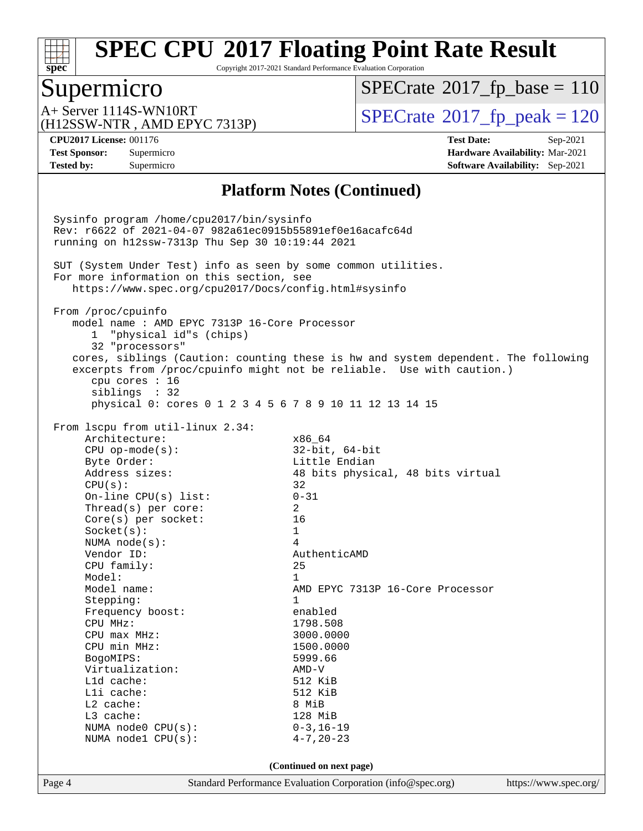

Copyright 2017-2021 Standard Performance Evaluation Corporation

#### Supermicro

 $SPECTate$ <sup>®</sup>[2017\\_fp\\_base =](http://www.spec.org/auto/cpu2017/Docs/result-fields.html#SPECrate2017fpbase) 110

(H12SSW-NTR , AMD EPYC 7313P)

 $A+$  Server 1114S-WN10RT  $\begin{array}{c|c}\n\text{SPECrate} \text{\textdegree}2017\_fp\_peak = 120\n\end{array}$  $\begin{array}{c|c}\n\text{SPECrate} \text{\textdegree}2017\_fp\_peak = 120\n\end{array}$  $\begin{array}{c|c}\n\text{SPECrate} \text{\textdegree}2017\_fp\_peak = 120\n\end{array}$ 

**[CPU2017 License:](http://www.spec.org/auto/cpu2017/Docs/result-fields.html#CPU2017License)** 001176 **[Test Date:](http://www.spec.org/auto/cpu2017/Docs/result-fields.html#TestDate)** Sep-2021 **[Test Sponsor:](http://www.spec.org/auto/cpu2017/Docs/result-fields.html#TestSponsor)** Supermicro **[Hardware Availability:](http://www.spec.org/auto/cpu2017/Docs/result-fields.html#HardwareAvailability)** Mar-2021 **[Tested by:](http://www.spec.org/auto/cpu2017/Docs/result-fields.html#Testedby)** Supermicro **[Software Availability:](http://www.spec.org/auto/cpu2017/Docs/result-fields.html#SoftwareAvailability)** Sep-2021

#### **[Platform Notes \(Continued\)](http://www.spec.org/auto/cpu2017/Docs/result-fields.html#PlatformNotes)**

Page 4 Standard Performance Evaluation Corporation [\(info@spec.org\)](mailto:info@spec.org) <https://www.spec.org/> Sysinfo program /home/cpu2017/bin/sysinfo Rev: r6622 of 2021-04-07 982a61ec0915b55891ef0e16acafc64d running on h12ssw-7313p Thu Sep 30 10:19:44 2021 SUT (System Under Test) info as seen by some common utilities. For more information on this section, see <https://www.spec.org/cpu2017/Docs/config.html#sysinfo> From /proc/cpuinfo model name : AMD EPYC 7313P 16-Core Processor 1 "physical id"s (chips) 32 "processors" cores, siblings (Caution: counting these is hw and system dependent. The following excerpts from /proc/cpuinfo might not be reliable. Use with caution.) cpu cores : 16 siblings : 32 physical 0: cores 0 1 2 3 4 5 6 7 8 9 10 11 12 13 14 15 From lscpu from util-linux 2.34: Architecture:  $x86\_64$  CPU op-mode(s): 32-bit, 64-bit Byte Order: Little Endian Address sizes: 48 bits physical, 48 bits virtual  $CPU(s):$  32 On-line CPU(s) list: 0-31 Thread(s) per core: 2 Core(s) per socket: 16  $Sockets(s):$  1 NUMA node(s): 4 Vendor ID: AuthenticAMD CPU family: 25 Model: 1 Model name: AMD EPYC 7313P 16-Core Processor Stepping: 1 Frequency boost: enabled CPU MHz: 1798.508 CPU max MHz: 3000.0000 CPU min MHz: 1500.0000 BogoMIPS: 5999.66 Virtualization: AMD-V L1d cache: L1i cache: 512 KiB L2 cache: 8 MiB L3 cache: 128 MiB NUMA node0 CPU(s): 0-3,16-19 NUMA node1 CPU(s): 4-7,20-23 **(Continued on next page)**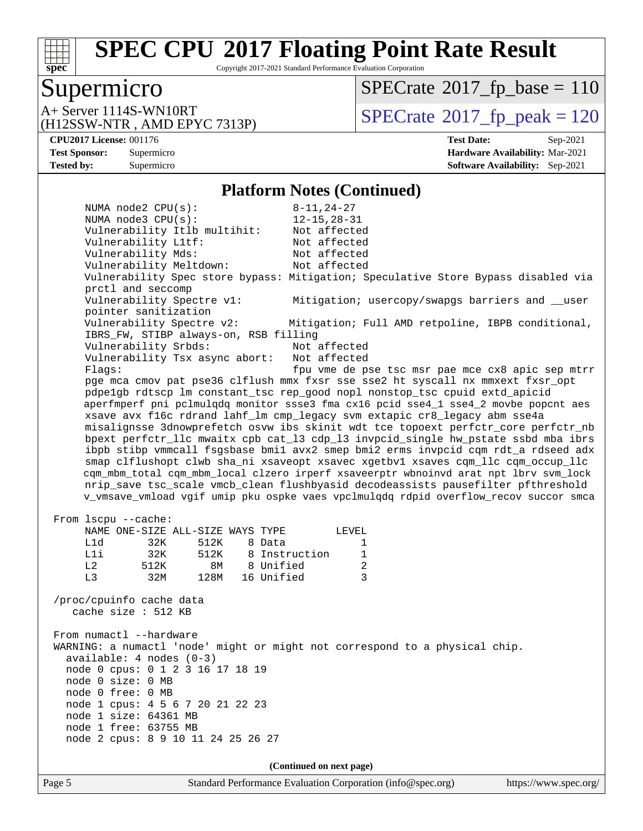

Copyright 2017-2021 Standard Performance Evaluation Corporation

#### Supermicro

(H12SSW-NTR , AMD EPYC 7313P)

 $SPECTate$ <sup>®</sup>[2017\\_fp\\_base =](http://www.spec.org/auto/cpu2017/Docs/result-fields.html#SPECrate2017fpbase) 110

 $A+$  Server 1114S-WN10RT  $\begin{array}{c|c}\n\text{SPECrate} \text{\textdegree}2017\_fp\_peak = 120\n\end{array}$  $\begin{array}{c|c}\n\text{SPECrate} \text{\textdegree}2017\_fp\_peak = 120\n\end{array}$  $\begin{array}{c|c}\n\text{SPECrate} \text{\textdegree}2017\_fp\_peak = 120\n\end{array}$ 

**[CPU2017 License:](http://www.spec.org/auto/cpu2017/Docs/result-fields.html#CPU2017License)** 001176 **[Test Date:](http://www.spec.org/auto/cpu2017/Docs/result-fields.html#TestDate)** Sep-2021 **[Test Sponsor:](http://www.spec.org/auto/cpu2017/Docs/result-fields.html#TestSponsor)** Supermicro **[Hardware Availability:](http://www.spec.org/auto/cpu2017/Docs/result-fields.html#HardwareAvailability)** Mar-2021 **[Tested by:](http://www.spec.org/auto/cpu2017/Docs/result-fields.html#Testedby)** Supermicro **[Software Availability:](http://www.spec.org/auto/cpu2017/Docs/result-fields.html#SoftwareAvailability)** Sep-2021

#### **[Platform Notes \(Continued\)](http://www.spec.org/auto/cpu2017/Docs/result-fields.html#PlatformNotes)**

 NUMA node2 CPU(s): 8-11,24-27 NUMA node3 CPU(s): 12-15,28-31 Vulnerability Itlb multihit: Not affected Vulnerability L1tf: Not affected Vulnerability Mds: Not affected Vulnerability Meltdown: Not affected Vulnerability Spec store bypass: Mitigation; Speculative Store Bypass disabled via prctl and seccomp Vulnerability Spectre v1: Mitigation; usercopy/swapgs barriers and \_\_user pointer sanitization Vulnerability Spectre v2: Mitigation; Full AMD retpoline, IBPB conditional, IBRS\_FW, STIBP always-on, RSB filling Vulnerability Srbds: Not affected Vulnerability Tsx async abort: Not affected Flags: **fpu** vme de pse tsc msr pae mce cx8 apic sep mtrr pge mca cmov pat pse36 clflush mmx fxsr sse sse2 ht syscall nx mmxext fxsr\_opt pdpe1gb rdtscp lm constant\_tsc rep\_good nopl nonstop\_tsc cpuid extd\_apicid aperfmperf pni pclmulqdq monitor ssse3 fma cx16 pcid sse4\_1 sse4\_2 movbe popcnt aes xsave avx f16c rdrand lahf\_lm cmp\_legacy svm extapic cr8\_legacy abm sse4a misalignsse 3dnowprefetch osvw ibs skinit wdt tce topoext perfctr\_core perfctr\_nb bpext perfctr\_llc mwaitx cpb cat\_l3 cdp\_l3 invpcid\_single hw\_pstate ssbd mba ibrs ibpb stibp vmmcall fsgsbase bmi1 avx2 smep bmi2 erms invpcid cqm rdt\_a rdseed adx smap clflushopt clwb sha\_ni xsaveopt xsavec xgetbv1 xsaves cqm\_llc cqm\_occup\_llc cqm\_mbm\_total cqm\_mbm\_local clzero irperf xsaveerptr wbnoinvd arat npt lbrv svm\_lock nrip\_save tsc\_scale vmcb\_clean flushbyasid decodeassists pausefilter pfthreshold v\_vmsave\_vmload vgif umip pku ospke vaes vpclmulqdq rdpid overflow\_recov succor smca From lscpu --cache: NAME ONE-SIZE ALL-SIZE WAYS TYPE LEVEL L1d 32K 512K 8 Data 1 L1i 32K 512K 8 Instruction 1 L2 512K 8M 8 Unified 2 L3 32M 128M 16 Unified 3 /proc/cpuinfo cache data cache size : 512 KB From numactl --hardware WARNING: a numactl 'node' might or might not correspond to a physical chip. available: 4 nodes (0-3) node 0 cpus: 0 1 2 3 16 17 18 19 node 0 size: 0 MB node 0 free: 0 MB node 1 cpus: 4 5 6 7 20 21 22 23 node 1 size: 64361 MB node 1 free: 63755 MB node 2 cpus: 8 9 10 11 24 25 26 27 **(Continued on next page)**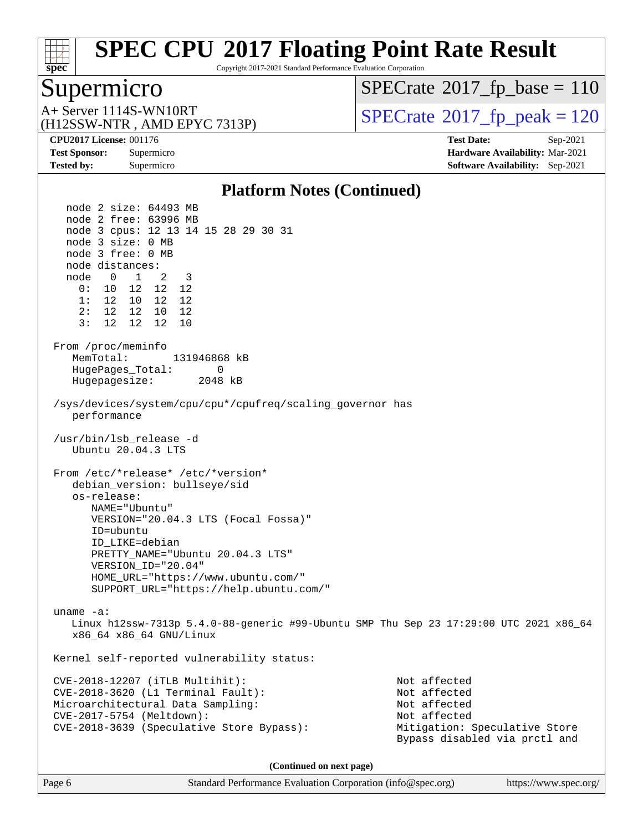

Copyright 2017-2021 Standard Performance Evaluation Corporation

#### Supermicro

(H12SSW-NTR , AMD EPYC 7313P)

 $SPECTate$ <sup>®</sup>[2017\\_fp\\_base =](http://www.spec.org/auto/cpu2017/Docs/result-fields.html#SPECrate2017fpbase) 110

 $A+$  Server 1114S-WN10RT  $\begin{array}{c|c}\n\text{SPECrate} \text{\textdegree}2017\_fp\_peak = 120\n\end{array}$  $\begin{array}{c|c}\n\text{SPECrate} \text{\textdegree}2017\_fp\_peak = 120\n\end{array}$  $\begin{array}{c|c}\n\text{SPECrate} \text{\textdegree}2017\_fp\_peak = 120\n\end{array}$ 

**[CPU2017 License:](http://www.spec.org/auto/cpu2017/Docs/result-fields.html#CPU2017License)** 001176 **[Test Date:](http://www.spec.org/auto/cpu2017/Docs/result-fields.html#TestDate)** Sep-2021 **[Test Sponsor:](http://www.spec.org/auto/cpu2017/Docs/result-fields.html#TestSponsor)** Supermicro **[Hardware Availability:](http://www.spec.org/auto/cpu2017/Docs/result-fields.html#HardwareAvailability)** Mar-2021 **[Tested by:](http://www.spec.org/auto/cpu2017/Docs/result-fields.html#Testedby)** Supermicro **[Software Availability:](http://www.spec.org/auto/cpu2017/Docs/result-fields.html#SoftwareAvailability)** Sep-2021

#### **[Platform Notes \(Continued\)](http://www.spec.org/auto/cpu2017/Docs/result-fields.html#PlatformNotes)**

 node 2 size: 64493 MB node 2 free: 63996 MB node 3 cpus: 12 13 14 15 28 29 30 31 node 3 size: 0 MB node 3 free: 0 MB node distances: node 0 1 2 3 0: 10 12 12 12 1: 12 10 12 12 2: 12 12 10 12 3: 12 12 12 10 From /proc/meminfo MemTotal: 131946868 kB HugePages\_Total: 0 Hugepagesize: 2048 kB /sys/devices/system/cpu/cpu\*/cpufreq/scaling\_governor has performance /usr/bin/lsb\_release -d Ubuntu 20.04.3 LTS From /etc/\*release\* /etc/\*version\* debian\_version: bullseye/sid os-release: NAME="Ubuntu" VERSION="20.04.3 LTS (Focal Fossa)" ID=ubuntu ID\_LIKE=debian PRETTY\_NAME="Ubuntu 20.04.3 LTS" VERSION\_ID="20.04" HOME\_URL="[https://www.ubuntu.com/"](https://www.ubuntu.com/) SUPPORT\_URL="[https://help.ubuntu.com/"](https://help.ubuntu.com/) uname -a: Linux h12ssw-7313p 5.4.0-88-generic #99-Ubuntu SMP Thu Sep 23 17:29:00 UTC 2021 x86\_64 x86\_64 x86\_64 GNU/Linux Kernel self-reported vulnerability status: CVE-2018-12207 (iTLB Multihit): Not affected CVE-2018-3620 (L1 Terminal Fault): Not affected Microarchitectural Data Sampling: Not affected CVE-2017-5754 (Meltdown): Not affected CVE-2018-3639 (Speculative Store Bypass): Mitigation: Speculative Store Bypass disabled via prctl and **(Continued on next page)**

Page 6 Standard Performance Evaluation Corporation [\(info@spec.org\)](mailto:info@spec.org) <https://www.spec.org/>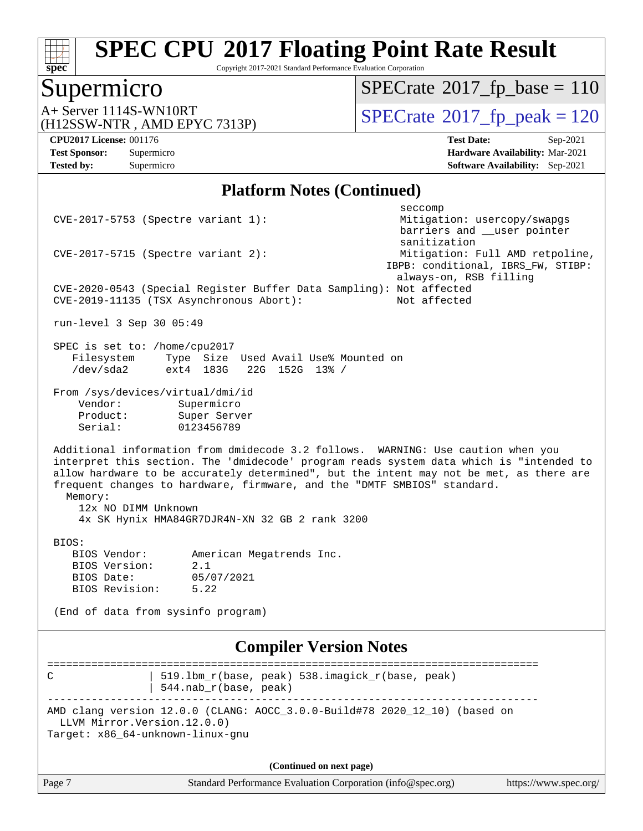

Copyright 2017-2021 Standard Performance Evaluation Corporation

#### Supermicro

 $SPECTate$ <sup>®</sup>[2017\\_fp\\_base =](http://www.spec.org/auto/cpu2017/Docs/result-fields.html#SPECrate2017fpbase) 110

(H12SSW-NTR , AMD EPYC 7313P)

 $A+$  Server 1114S-WN10RT  $\begin{array}{c} \text{SPECrate} \text{\textdegree}2017\_fp\_peak = 120 \\ \text{SPECrate} \text{\textdegree}2017\_fp\_peak = 120 \end{array}$  $\begin{array}{c} \text{SPECrate} \text{\textdegree}2017\_fp\_peak = 120 \\ \text{SPECrate} \text{\textdegree}2017\_fp\_peak = 120 \end{array}$  $\begin{array}{c} \text{SPECrate} \text{\textdegree}2017\_fp\_peak = 120 \\ \text{SPECrate} \text{\textdegree}2017\_fp\_peak = 120 \end{array}$ 

**[Tested by:](http://www.spec.org/auto/cpu2017/Docs/result-fields.html#Testedby)** Supermicro **[Software Availability:](http://www.spec.org/auto/cpu2017/Docs/result-fields.html#SoftwareAvailability)** Sep-2021

**[CPU2017 License:](http://www.spec.org/auto/cpu2017/Docs/result-fields.html#CPU2017License)** 001176 **[Test Date:](http://www.spec.org/auto/cpu2017/Docs/result-fields.html#TestDate)** Sep-2021 **[Test Sponsor:](http://www.spec.org/auto/cpu2017/Docs/result-fields.html#TestSponsor)** Supermicro **[Hardware Availability:](http://www.spec.org/auto/cpu2017/Docs/result-fields.html#HardwareAvailability)** Mar-2021

#### **[Platform Notes \(Continued\)](http://www.spec.org/auto/cpu2017/Docs/result-fields.html#PlatformNotes)**

seccompany and the contract of the contract of the contract of the second seconds of the contract of the contract of the contract of the contract of the contract of the contract of the contract of the contract of the contr CVE-2017-5753 (Spectre variant 1): Mitigation: usercopy/swapgs barriers and \_\_user pointer sanitization CVE-2017-5715 (Spectre variant 2): Mitigation: Full AMD retpoline, IBPB: conditional, IBRS\_FW, STIBP: always-on, RSB filling CVE-2020-0543 (Special Register Buffer Data Sampling): Not affected CVE-2019-11135 (TSX Asynchronous Abort): Not affected run-level 3 Sep 30 05:49 SPEC is set to: /home/cpu2017 Filesystem Type Size Used Avail Use% Mounted on<br>
/dev/sda2 ext4 183G 22G 152G 13% / /dev/sda2 ext4 183G 22G 152G 13% / From /sys/devices/virtual/dmi/id Vendor: Supermicro Product: Super Server Serial: 0123456789 Additional information from dmidecode 3.2 follows. WARNING: Use caution when you interpret this section. The 'dmidecode' program reads system data which is "intended to allow hardware to be accurately determined", but the intent may not be met, as there are frequent changes to hardware, firmware, and the "DMTF SMBIOS" standard. Memory: 12x NO DIMM Unknown 4x SK Hynix HMA84GR7DJR4N-XN 32 GB 2 rank 3200 BIOS: BIOS Vendor: American Megatrends Inc. BIOS Version: 2.1 BIOS Date: 05/07/2021 BIOS Revision: 5.22 (End of data from sysinfo program) **[Compiler Version Notes](http://www.spec.org/auto/cpu2017/Docs/result-fields.html#CompilerVersionNotes)** ============================================================================== C | 519.lbm\_r(base, peak) 538.imagick\_r(base, peak) | 544.nab\_r(base, peak) ------------------------------------------------------------------------------ AMD clang version 12.0.0 (CLANG: AOCC\_3.0.0-Build#78 2020\_12\_10) (based on LLVM Mirror.Version.12.0.0) Target: x86\_64-unknown-linux-gnu **(Continued on next page)**

| Page 7 | Standard Performance Evaluation Corporation (info@spec.org) | https://www.spec.org/ |
|--------|-------------------------------------------------------------|-----------------------|
|--------|-------------------------------------------------------------|-----------------------|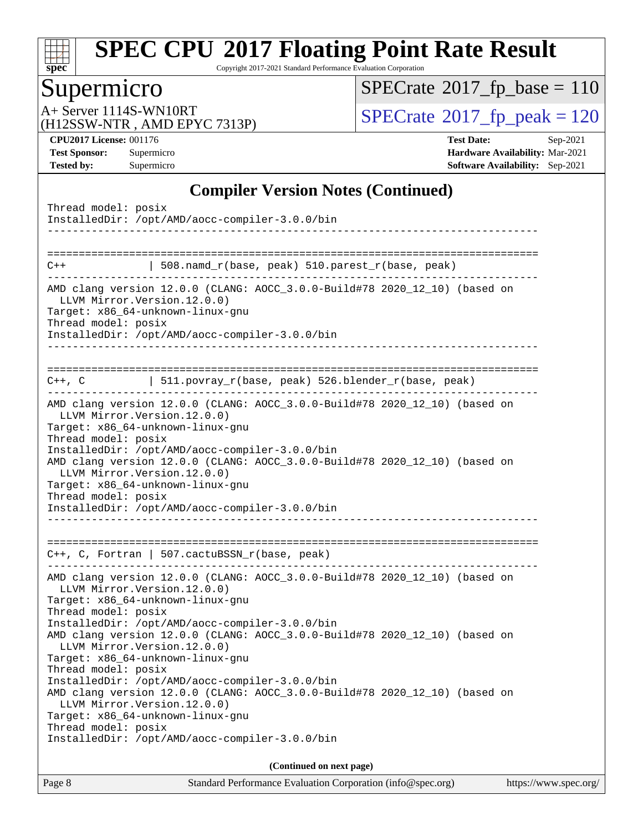

Copyright 2017-2021 Standard Performance Evaluation Corporation

## Supermicro

 $SPECrate$ <sup>®</sup>[2017\\_fp\\_base =](http://www.spec.org/auto/cpu2017/Docs/result-fields.html#SPECrate2017fpbase) 110

(H12SSW-NTR , AMD EPYC 7313P)

A+ Server 1114S-WN10RT<br>
(H12SSW-NTR, AMD EPYC 7313P) [SPECrate](http://www.spec.org/auto/cpu2017/Docs/result-fields.html#SPECrate2017fppeak)®[2017\\_fp\\_peak = 1](http://www.spec.org/auto/cpu2017/Docs/result-fields.html#SPECrate2017fppeak)20

**[CPU2017 License:](http://www.spec.org/auto/cpu2017/Docs/result-fields.html#CPU2017License)** 001176 **[Test Date:](http://www.spec.org/auto/cpu2017/Docs/result-fields.html#TestDate)** Sep-2021 **[Test Sponsor:](http://www.spec.org/auto/cpu2017/Docs/result-fields.html#TestSponsor)** Supermicro **[Hardware Availability:](http://www.spec.org/auto/cpu2017/Docs/result-fields.html#HardwareAvailability)** Mar-2021 **[Tested by:](http://www.spec.org/auto/cpu2017/Docs/result-fields.html#Testedby)** Supermicro **[Software Availability:](http://www.spec.org/auto/cpu2017/Docs/result-fields.html#SoftwareAvailability)** Sep-2021

#### **[Compiler Version Notes \(Continued\)](http://www.spec.org/auto/cpu2017/Docs/result-fields.html#CompilerVersionNotes)**

| Thread model: posix<br>InstalledDir: /opt/AMD/aocc-compiler-3.0.0/bin                                                                                                                                                                                                                                                                                                                                                                                |  |  |  |  |  |
|------------------------------------------------------------------------------------------------------------------------------------------------------------------------------------------------------------------------------------------------------------------------------------------------------------------------------------------------------------------------------------------------------------------------------------------------------|--|--|--|--|--|
| 508.namd_r(base, peak) 510.parest_r(base, peak)<br>$C++$                                                                                                                                                                                                                                                                                                                                                                                             |  |  |  |  |  |
| AMD clang version 12.0.0 (CLANG: AOCC_3.0.0-Build#78 2020_12_10) (based on<br>LLVM Mirror. Version. 12.0.0)<br>Target: x86_64-unknown-linux-gnu<br>Thread model: posix<br>InstalledDir: /opt/AMD/aocc-compiler-3.0.0/bin                                                                                                                                                                                                                             |  |  |  |  |  |
| C++, C 		   511.povray_r(base, peak) 526.blender_r(base, peak)                                                                                                                                                                                                                                                                                                                                                                                       |  |  |  |  |  |
| AMD clang version 12.0.0 (CLANG: AOCC_3.0.0-Build#78 2020_12_10) (based on<br>LLVM Mirror. Version. 12.0.0)<br>Target: x86_64-unknown-linux-gnu<br>Thread model: posix<br>InstalledDir: /opt/AMD/aocc-compiler-3.0.0/bin<br>AMD clang version 12.0.0 (CLANG: AOCC_3.0.0-Build#78 2020_12_10) (based on<br>LLVM Mirror. Version. 12.0.0)<br>Target: x86_64-unknown-linux-gnu<br>Thread model: posix<br>InstalledDir: /opt/AMD/aocc-compiler-3.0.0/bin |  |  |  |  |  |
|                                                                                                                                                                                                                                                                                                                                                                                                                                                      |  |  |  |  |  |
| $C++$ , C, Fortran   507.cactuBSSN_r(base, peak)<br>--------------------------                                                                                                                                                                                                                                                                                                                                                                       |  |  |  |  |  |
| AMD clang version 12.0.0 (CLANG: AOCC_3.0.0-Build#78 2020_12_10) (based on<br>LLVM Mirror.Version.12.0.0)<br>Target: x86_64-unknown-linux-gnu<br>Thread model: posix<br>InstalledDir: /opt/AMD/aocc-compiler-3.0.0/bin                                                                                                                                                                                                                               |  |  |  |  |  |
| AMD clang version 12.0.0 (CLANG: AOCC_3.0.0-Build#78 2020_12_10) (based on<br>LLVM Mirror. Version. 12.0.0)<br>Target: x86_64-unknown-linux-gnu<br>Thread model: posix                                                                                                                                                                                                                                                                               |  |  |  |  |  |
| InstalledDir: /opt/AMD/aocc-compiler-3.0.0/bin<br>AMD clang version 12.0.0 (CLANG: AOCC_3.0.0-Build#78 2020_12_10) (based on<br>LLVM Mirror. Version. 12.0.0)<br>Target: x86_64-unknown-linux-gnu<br>Thread model: posix<br>InstalledDir: /opt/AMD/aocc-compiler-3.0.0/bin                                                                                                                                                                           |  |  |  |  |  |
|                                                                                                                                                                                                                                                                                                                                                                                                                                                      |  |  |  |  |  |
| (Continued on next page)                                                                                                                                                                                                                                                                                                                                                                                                                             |  |  |  |  |  |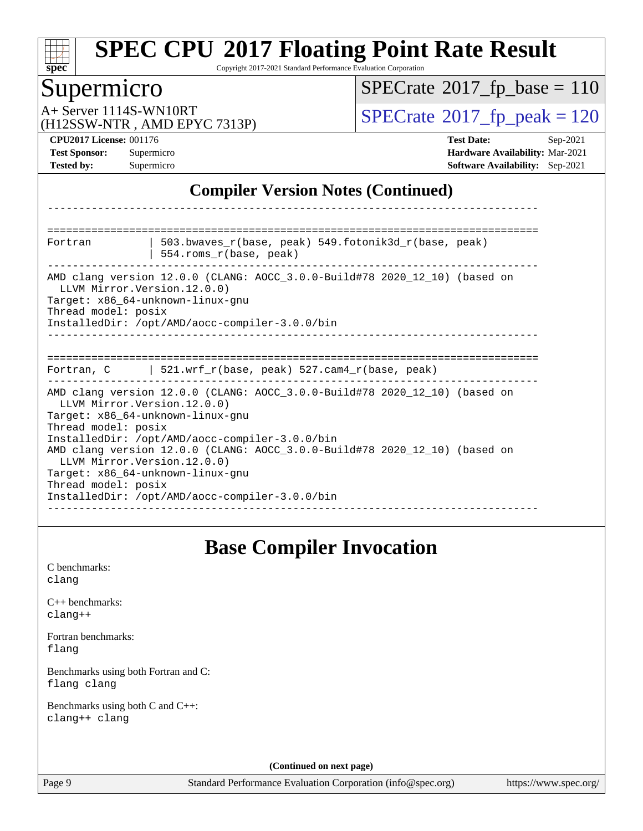| s.<br>Ľ<br>L<br>Ċ |  |  |  |  |  |  |
|-------------------|--|--|--|--|--|--|

Copyright 2017-2021 Standard Performance Evaluation Corporation

# Supermicro

 $SPECrate$ <sup>®</sup>[2017\\_fp\\_base =](http://www.spec.org/auto/cpu2017/Docs/result-fields.html#SPECrate2017fpbase) 110

(H12SSW-NTR , AMD EPYC 7313P)

A+ Server 1114S-WN10RT<br>
(H12SSW-NTR AMD EPYC 7313P) [SPECrate](http://www.spec.org/auto/cpu2017/Docs/result-fields.html#SPECrate2017fppeak)®[2017\\_fp\\_peak = 1](http://www.spec.org/auto/cpu2017/Docs/result-fields.html#SPECrate2017fppeak)20

**[CPU2017 License:](http://www.spec.org/auto/cpu2017/Docs/result-fields.html#CPU2017License)** 001176 **[Test Date:](http://www.spec.org/auto/cpu2017/Docs/result-fields.html#TestDate)** Sep-2021 **[Test Sponsor:](http://www.spec.org/auto/cpu2017/Docs/result-fields.html#TestSponsor)** Supermicro **[Hardware Availability:](http://www.spec.org/auto/cpu2017/Docs/result-fields.html#HardwareAvailability)** Mar-2021 **[Tested by:](http://www.spec.org/auto/cpu2017/Docs/result-fields.html#Testedby)** Supermicro **[Software Availability:](http://www.spec.org/auto/cpu2017/Docs/result-fields.html#SoftwareAvailability)** Sep-2021

#### **[Compiler Version Notes \(Continued\)](http://www.spec.org/auto/cpu2017/Docs/result-fields.html#CompilerVersionNotes)**

| Fortran                                                                                                                                                                              | 503.bwaves $r(base, peak)$ 549.fotonik3d $r(base, peak)$<br>554.roms_r(base, peak)                                                                                                                                                                           |
|--------------------------------------------------------------------------------------------------------------------------------------------------------------------------------------|--------------------------------------------------------------------------------------------------------------------------------------------------------------------------------------------------------------------------------------------------------------|
| LLVM Mirror. Version. 12.0.0)<br>Target: x86_64-unknown-linux-gnu<br>Thread model: posix                                                                                             | AMD clang version 12.0.0 (CLANG: AOCC_3.0.0-Build#78 2020_12_10) (based on<br>InstalledDir: /opt/AMD/aocc-compiler-3.0.0/bin                                                                                                                                 |
|                                                                                                                                                                                      | Fortran, C 521.wrf_r(base, peak) 527.cam4_r(base, peak)                                                                                                                                                                                                      |
| LLVM Mirror. Version. 12.0.0)<br>Target: x86 64-unknown-linux-gnu<br>Thread model: posix<br>LLVM Mirror. Version. 12.0.0)<br>Target: x86 64-unknown-linux-gnu<br>Thread model: posix | AMD clang version 12.0.0 (CLANG: AOCC_3.0.0-Build#78 2020_12_10) (based on<br>InstalledDir: /opt/AMD/aocc-compiler-3.0.0/bin<br>AMD clang version 12.0.0 (CLANG: AOCC_3.0.0-Build#78 2020_12_10) (based on<br>InstalledDir: /opt/AMD/aocc-compiler-3.0.0/bin |

#### **[Base Compiler Invocation](http://www.spec.org/auto/cpu2017/Docs/result-fields.html#BaseCompilerInvocation)**

[C benchmarks](http://www.spec.org/auto/cpu2017/Docs/result-fields.html#Cbenchmarks): [clang](http://www.spec.org/cpu2017/results/res2021q4/cpu2017-20211012-29723.flags.html#user_CCbase_clang-c)

[C++ benchmarks:](http://www.spec.org/auto/cpu2017/Docs/result-fields.html#CXXbenchmarks) [clang++](http://www.spec.org/cpu2017/results/res2021q4/cpu2017-20211012-29723.flags.html#user_CXXbase_clang-cpp)

[Fortran benchmarks](http://www.spec.org/auto/cpu2017/Docs/result-fields.html#Fortranbenchmarks): [flang](http://www.spec.org/cpu2017/results/res2021q4/cpu2017-20211012-29723.flags.html#user_FCbase_flang)

[Benchmarks using both Fortran and C](http://www.spec.org/auto/cpu2017/Docs/result-fields.html#BenchmarksusingbothFortranandC): [flang](http://www.spec.org/cpu2017/results/res2021q4/cpu2017-20211012-29723.flags.html#user_CC_FCbase_flang) [clang](http://www.spec.org/cpu2017/results/res2021q4/cpu2017-20211012-29723.flags.html#user_CC_FCbase_clang-c)

[Benchmarks using both C and C++](http://www.spec.org/auto/cpu2017/Docs/result-fields.html#BenchmarksusingbothCandCXX): [clang++](http://www.spec.org/cpu2017/results/res2021q4/cpu2017-20211012-29723.flags.html#user_CC_CXXbase_clang-cpp) [clang](http://www.spec.org/cpu2017/results/res2021q4/cpu2017-20211012-29723.flags.html#user_CC_CXXbase_clang-c)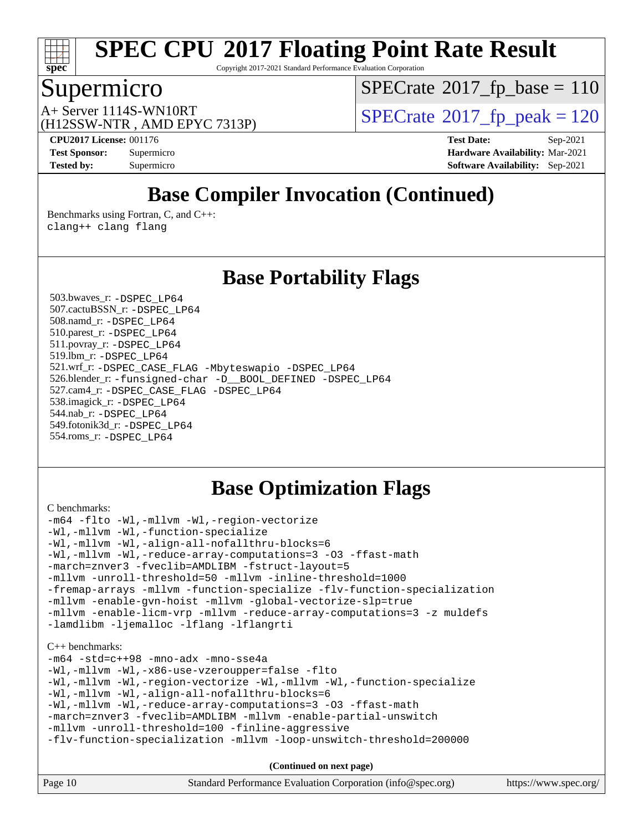

Copyright 2017-2021 Standard Performance Evaluation Corporation

#### Supermicro

 $SPECTate$ <sup>®</sup>[2017\\_fp\\_base =](http://www.spec.org/auto/cpu2017/Docs/result-fields.html#SPECrate2017fpbase) 110

(H12SSW-NTR , AMD EPYC 7313P)

 $A+$  Server 1114S-WN10RT  $\begin{array}{c} \text{SPECrate} \text{\textdegree}2017\_fp\_peak = 120 \\ \text{SPECrate} \text{\textdegree}2017\_fp\_peak = 120 \end{array}$  $\begin{array}{c} \text{SPECrate} \text{\textdegree}2017\_fp\_peak = 120 \\ \text{SPECrate} \text{\textdegree}2017\_fp\_peak = 120 \end{array}$  $\begin{array}{c} \text{SPECrate} \text{\textdegree}2017\_fp\_peak = 120 \\ \text{SPECrate} \text{\textdegree}2017\_fp\_peak = 120 \end{array}$ 

**[CPU2017 License:](http://www.spec.org/auto/cpu2017/Docs/result-fields.html#CPU2017License)** 001176 **[Test Date:](http://www.spec.org/auto/cpu2017/Docs/result-fields.html#TestDate)** Sep-2021 **[Test Sponsor:](http://www.spec.org/auto/cpu2017/Docs/result-fields.html#TestSponsor)** Supermicro **[Hardware Availability:](http://www.spec.org/auto/cpu2017/Docs/result-fields.html#HardwareAvailability)** Mar-2021 **[Tested by:](http://www.spec.org/auto/cpu2017/Docs/result-fields.html#Testedby)** Supermicro **[Software Availability:](http://www.spec.org/auto/cpu2017/Docs/result-fields.html#SoftwareAvailability)** Sep-2021

## **[Base Compiler Invocation \(Continued\)](http://www.spec.org/auto/cpu2017/Docs/result-fields.html#BaseCompilerInvocation)**

[Benchmarks using Fortran, C, and C++:](http://www.spec.org/auto/cpu2017/Docs/result-fields.html#BenchmarksusingFortranCandCXX) [clang++](http://www.spec.org/cpu2017/results/res2021q4/cpu2017-20211012-29723.flags.html#user_CC_CXX_FCbase_clang-cpp) [clang](http://www.spec.org/cpu2017/results/res2021q4/cpu2017-20211012-29723.flags.html#user_CC_CXX_FCbase_clang-c) [flang](http://www.spec.org/cpu2017/results/res2021q4/cpu2017-20211012-29723.flags.html#user_CC_CXX_FCbase_flang)

#### **[Base Portability Flags](http://www.spec.org/auto/cpu2017/Docs/result-fields.html#BasePortabilityFlags)**

 503.bwaves\_r: [-DSPEC\\_LP64](http://www.spec.org/cpu2017/results/res2021q4/cpu2017-20211012-29723.flags.html#suite_baseEXTRA_PORTABILITY503_bwaves_r_DSPEC_LP64) 507.cactuBSSN\_r: [-DSPEC\\_LP64](http://www.spec.org/cpu2017/results/res2021q4/cpu2017-20211012-29723.flags.html#suite_baseEXTRA_PORTABILITY507_cactuBSSN_r_DSPEC_LP64) 508.namd\_r: [-DSPEC\\_LP64](http://www.spec.org/cpu2017/results/res2021q4/cpu2017-20211012-29723.flags.html#suite_baseEXTRA_PORTABILITY508_namd_r_DSPEC_LP64) 510.parest\_r: [-DSPEC\\_LP64](http://www.spec.org/cpu2017/results/res2021q4/cpu2017-20211012-29723.flags.html#suite_baseEXTRA_PORTABILITY510_parest_r_DSPEC_LP64) 511.povray\_r: [-DSPEC\\_LP64](http://www.spec.org/cpu2017/results/res2021q4/cpu2017-20211012-29723.flags.html#suite_baseEXTRA_PORTABILITY511_povray_r_DSPEC_LP64) 519.lbm\_r: [-DSPEC\\_LP64](http://www.spec.org/cpu2017/results/res2021q4/cpu2017-20211012-29723.flags.html#suite_baseEXTRA_PORTABILITY519_lbm_r_DSPEC_LP64) 521.wrf\_r: [-DSPEC\\_CASE\\_FLAG](http://www.spec.org/cpu2017/results/res2021q4/cpu2017-20211012-29723.flags.html#b521.wrf_r_baseCPORTABILITY_DSPEC_CASE_FLAG) [-Mbyteswapio](http://www.spec.org/cpu2017/results/res2021q4/cpu2017-20211012-29723.flags.html#user_baseFPORTABILITY521_wrf_r_F-mbyteswapio) [-DSPEC\\_LP64](http://www.spec.org/cpu2017/results/res2021q4/cpu2017-20211012-29723.flags.html#suite_baseEXTRA_PORTABILITY521_wrf_r_DSPEC_LP64) 526.blender\_r: [-funsigned-char](http://www.spec.org/cpu2017/results/res2021q4/cpu2017-20211012-29723.flags.html#user_baseCPORTABILITY526_blender_r_aocc-unsigned-char) [-D\\_\\_BOOL\\_DEFINED](http://www.spec.org/cpu2017/results/res2021q4/cpu2017-20211012-29723.flags.html#b526.blender_r_baseCXXPORTABILITY_D__BOOL_DEFINED) [-DSPEC\\_LP64](http://www.spec.org/cpu2017/results/res2021q4/cpu2017-20211012-29723.flags.html#suite_baseEXTRA_PORTABILITY526_blender_r_DSPEC_LP64) 527.cam4\_r: [-DSPEC\\_CASE\\_FLAG](http://www.spec.org/cpu2017/results/res2021q4/cpu2017-20211012-29723.flags.html#b527.cam4_r_basePORTABILITY_DSPEC_CASE_FLAG) [-DSPEC\\_LP64](http://www.spec.org/cpu2017/results/res2021q4/cpu2017-20211012-29723.flags.html#suite_baseEXTRA_PORTABILITY527_cam4_r_DSPEC_LP64) 538.imagick\_r: [-DSPEC\\_LP64](http://www.spec.org/cpu2017/results/res2021q4/cpu2017-20211012-29723.flags.html#suite_baseEXTRA_PORTABILITY538_imagick_r_DSPEC_LP64) 544.nab\_r: [-DSPEC\\_LP64](http://www.spec.org/cpu2017/results/res2021q4/cpu2017-20211012-29723.flags.html#suite_baseEXTRA_PORTABILITY544_nab_r_DSPEC_LP64) 549.fotonik3d\_r: [-DSPEC\\_LP64](http://www.spec.org/cpu2017/results/res2021q4/cpu2017-20211012-29723.flags.html#suite_baseEXTRA_PORTABILITY549_fotonik3d_r_DSPEC_LP64) 554.roms\_r: [-DSPEC\\_LP64](http://www.spec.org/cpu2017/results/res2021q4/cpu2017-20211012-29723.flags.html#suite_baseEXTRA_PORTABILITY554_roms_r_DSPEC_LP64)

## **[Base Optimization Flags](http://www.spec.org/auto/cpu2017/Docs/result-fields.html#BaseOptimizationFlags)**

[C benchmarks](http://www.spec.org/auto/cpu2017/Docs/result-fields.html#Cbenchmarks): [-m64](http://www.spec.org/cpu2017/results/res2021q4/cpu2017-20211012-29723.flags.html#user_CCbase_F-m64) [-flto](http://www.spec.org/cpu2017/results/res2021q4/cpu2017-20211012-29723.flags.html#user_CCbase_aocc-flto) [-Wl,-mllvm -Wl,-region-vectorize](http://www.spec.org/cpu2017/results/res2021q4/cpu2017-20211012-29723.flags.html#user_CCbase_F-region-vectorize_fb6c6b5aa293c88efc6c7c2b52b20755e943585b1fe8658c35afef78727fff56e1a56891413c30e36b8e2a6f9a71126986319243e80eb6110b78b288f533c52b) [-Wl,-mllvm -Wl,-function-specialize](http://www.spec.org/cpu2017/results/res2021q4/cpu2017-20211012-29723.flags.html#user_CCbase_F-function-specialize_7e7e661e57922243ee67c9a1251cb8910e607325179a0ce7f2884e09a6f5d4a5ef0ae4f37e8a2a11c95fc48e931f06dc2b6016f14b511fcb441e048bef1b065a) [-Wl,-mllvm -Wl,-align-all-nofallthru-blocks=6](http://www.spec.org/cpu2017/results/res2021q4/cpu2017-20211012-29723.flags.html#user_CCbase_F-align-all-nofallthru-blocks) [-Wl,-mllvm -Wl,-reduce-array-computations=3](http://www.spec.org/cpu2017/results/res2021q4/cpu2017-20211012-29723.flags.html#user_CCbase_F-reduce-array-computations_b882aefe7a5dda4e33149f6299762b9a720dace3e498e13756f4c04e5a19edf5315c1f3993de2e61ec41e8c206231f84e05da7040e1bb5d69ba27d10a12507e4) [-O3](http://www.spec.org/cpu2017/results/res2021q4/cpu2017-20211012-29723.flags.html#user_CCbase_F-O3) [-ffast-math](http://www.spec.org/cpu2017/results/res2021q4/cpu2017-20211012-29723.flags.html#user_CCbase_aocc-ffast-math) [-march=znver3](http://www.spec.org/cpu2017/results/res2021q4/cpu2017-20211012-29723.flags.html#user_CCbase_aocc-march) [-fveclib=AMDLIBM](http://www.spec.org/cpu2017/results/res2021q4/cpu2017-20211012-29723.flags.html#user_CCbase_F-fveclib) [-fstruct-layout=5](http://www.spec.org/cpu2017/results/res2021q4/cpu2017-20211012-29723.flags.html#user_CCbase_F-struct-layout) [-mllvm -unroll-threshold=50](http://www.spec.org/cpu2017/results/res2021q4/cpu2017-20211012-29723.flags.html#user_CCbase_F-unroll-threshold_458874500b2c105d6d5cb4d7a611c40e2b16e9e3d26b355fea72d644c3673b4de4b3932662f0ed3dbec75c491a13da2d2ca81180bd779dc531083ef1e1e549dc) [-mllvm -inline-threshold=1000](http://www.spec.org/cpu2017/results/res2021q4/cpu2017-20211012-29723.flags.html#user_CCbase_F-inline-threshold_b7832241b0a6397e4ecdbaf0eb7defdc10f885c2a282fa3240fdc99844d543fda39cf8a4a9dccf68cf19b5438ac3b455264f478df15da0f4988afa40d8243bab) [-fremap-arrays](http://www.spec.org/cpu2017/results/res2021q4/cpu2017-20211012-29723.flags.html#user_CCbase_F-fremap-arrays) [-mllvm -function-specialize](http://www.spec.org/cpu2017/results/res2021q4/cpu2017-20211012-29723.flags.html#user_CCbase_F-function-specialize_233b3bdba86027f1b094368157e481c5bc59f40286dc25bfadc1858dcd5745c24fd30d5f188710db7fea399bcc9f44a80b3ce3aacc70a8870250c3ae5e1f35b8) [-flv-function-specialization](http://www.spec.org/cpu2017/results/res2021q4/cpu2017-20211012-29723.flags.html#user_CCbase_F-flv-function-specialization) [-mllvm -enable-gvn-hoist](http://www.spec.org/cpu2017/results/res2021q4/cpu2017-20211012-29723.flags.html#user_CCbase_F-enable-gvn-hoist_e5856354646dd6ca1333a0ad99b817e4cf8932b91b82809fd8fd47ceff7b22a89eba5c98fd3e3fa5200368fd772cec3dd56abc3c8f7b655a71b9f9848dddedd5) [-mllvm -global-vectorize-slp=true](http://www.spec.org/cpu2017/results/res2021q4/cpu2017-20211012-29723.flags.html#user_CCbase_F-global-vectorize-slp_f701c289ed3fc79483844cad3672606d268e3123d2651e764a36e57810b634b30ff7af25c43ce4288d0e4c1cc47ba156fce6ed971bc0d0e53c4c557f353d3dec) [-mllvm -enable-licm-vrp](http://www.spec.org/cpu2017/results/res2021q4/cpu2017-20211012-29723.flags.html#user_CCbase_F-enable-licm-vrp_82fd83574dee81d8c8043a1355024a53ba7c23d449242d72368fd778ae4cd8625fb6c8e473e88c632367ccc13b0c321b9a13b8db897fcfc1592cf0205fd356b5) [-mllvm -reduce-array-computations=3](http://www.spec.org/cpu2017/results/res2021q4/cpu2017-20211012-29723.flags.html#user_CCbase_F-reduce-array-computations) [-z muldefs](http://www.spec.org/cpu2017/results/res2021q4/cpu2017-20211012-29723.flags.html#user_CCbase_aocc-muldefs) [-lamdlibm](http://www.spec.org/cpu2017/results/res2021q4/cpu2017-20211012-29723.flags.html#user_CCbase_F-lamdlibm) [-ljemalloc](http://www.spec.org/cpu2017/results/res2021q4/cpu2017-20211012-29723.flags.html#user_CCbase_jemalloc-lib) [-lflang](http://www.spec.org/cpu2017/results/res2021q4/cpu2017-20211012-29723.flags.html#user_CCbase_F-lflang) [-lflangrti](http://www.spec.org/cpu2017/results/res2021q4/cpu2017-20211012-29723.flags.html#user_CCbase_F-lflangrti) [C++ benchmarks:](http://www.spec.org/auto/cpu2017/Docs/result-fields.html#CXXbenchmarks) [-m64](http://www.spec.org/cpu2017/results/res2021q4/cpu2017-20211012-29723.flags.html#user_CXXbase_F-m64) [-std=c++98](http://www.spec.org/cpu2017/results/res2021q4/cpu2017-20211012-29723.flags.html#user_CXXbase_std-cpp) [-mno-adx](http://www.spec.org/cpu2017/results/res2021q4/cpu2017-20211012-29723.flags.html#user_CXXbase_F-mno-adx) [-mno-sse4a](http://www.spec.org/cpu2017/results/res2021q4/cpu2017-20211012-29723.flags.html#user_CXXbase_F-mno-sse4a) [-Wl,-mllvm -Wl,-x86-use-vzeroupper=false](http://www.spec.org/cpu2017/results/res2021q4/cpu2017-20211012-29723.flags.html#user_CXXbase_F-use-vzeroupper_f792211b0552b0142c11cf651c85f88d7eca3e3e6d4ab29ab8b0b7be9c7d83df7aebb846b5dded1424ec84d39acb59d058815f97bc3ae9de4ba00ee4e2945c83) [-flto](http://www.spec.org/cpu2017/results/res2021q4/cpu2017-20211012-29723.flags.html#user_CXXbase_aocc-flto)

[-Wl,-mllvm -Wl,-region-vectorize](http://www.spec.org/cpu2017/results/res2021q4/cpu2017-20211012-29723.flags.html#user_CXXbase_F-region-vectorize_fb6c6b5aa293c88efc6c7c2b52b20755e943585b1fe8658c35afef78727fff56e1a56891413c30e36b8e2a6f9a71126986319243e80eb6110b78b288f533c52b) [-Wl,-mllvm -Wl,-function-specialize](http://www.spec.org/cpu2017/results/res2021q4/cpu2017-20211012-29723.flags.html#user_CXXbase_F-function-specialize_7e7e661e57922243ee67c9a1251cb8910e607325179a0ce7f2884e09a6f5d4a5ef0ae4f37e8a2a11c95fc48e931f06dc2b6016f14b511fcb441e048bef1b065a) [-Wl,-mllvm -Wl,-align-all-nofallthru-blocks=6](http://www.spec.org/cpu2017/results/res2021q4/cpu2017-20211012-29723.flags.html#user_CXXbase_F-align-all-nofallthru-blocks) [-Wl,-mllvm -Wl,-reduce-array-computations=3](http://www.spec.org/cpu2017/results/res2021q4/cpu2017-20211012-29723.flags.html#user_CXXbase_F-reduce-array-computations_b882aefe7a5dda4e33149f6299762b9a720dace3e498e13756f4c04e5a19edf5315c1f3993de2e61ec41e8c206231f84e05da7040e1bb5d69ba27d10a12507e4) [-O3](http://www.spec.org/cpu2017/results/res2021q4/cpu2017-20211012-29723.flags.html#user_CXXbase_F-O3) [-ffast-math](http://www.spec.org/cpu2017/results/res2021q4/cpu2017-20211012-29723.flags.html#user_CXXbase_aocc-ffast-math) [-march=znver3](http://www.spec.org/cpu2017/results/res2021q4/cpu2017-20211012-29723.flags.html#user_CXXbase_aocc-march) [-fveclib=AMDLIBM](http://www.spec.org/cpu2017/results/res2021q4/cpu2017-20211012-29723.flags.html#user_CXXbase_F-fveclib) [-mllvm -enable-partial-unswitch](http://www.spec.org/cpu2017/results/res2021q4/cpu2017-20211012-29723.flags.html#user_CXXbase_F-enable-partial-unswitch_6e1c33f981d77963b1eaf834973128a7f33ce3f8e27f54689656697a35e89dcc875281e0e6283d043e32f367dcb605ba0e307a92e830f7e326789fa6c61b35d3) [-mllvm -unroll-threshold=100](http://www.spec.org/cpu2017/results/res2021q4/cpu2017-20211012-29723.flags.html#user_CXXbase_F-unroll-threshold) [-finline-aggressive](http://www.spec.org/cpu2017/results/res2021q4/cpu2017-20211012-29723.flags.html#user_CXXbase_F-finline-aggressive)

[-flv-function-specialization](http://www.spec.org/cpu2017/results/res2021q4/cpu2017-20211012-29723.flags.html#user_CXXbase_F-flv-function-specialization) [-mllvm -loop-unswitch-threshold=200000](http://www.spec.org/cpu2017/results/res2021q4/cpu2017-20211012-29723.flags.html#user_CXXbase_F-loop-unswitch-threshold_f9a82ae3270e55b5fbf79d0d96ee93606b73edbbe527d20b18b7bff1a3a146ad50cfc7454c5297978340ae9213029016a7d16221274d672d3f7f42ed25274e1d)

| Page 10 | Standard Performance Evaluation Corporation (info@spec.org) | https://www.spec.org/ |
|---------|-------------------------------------------------------------|-----------------------|
|         |                                                             |                       |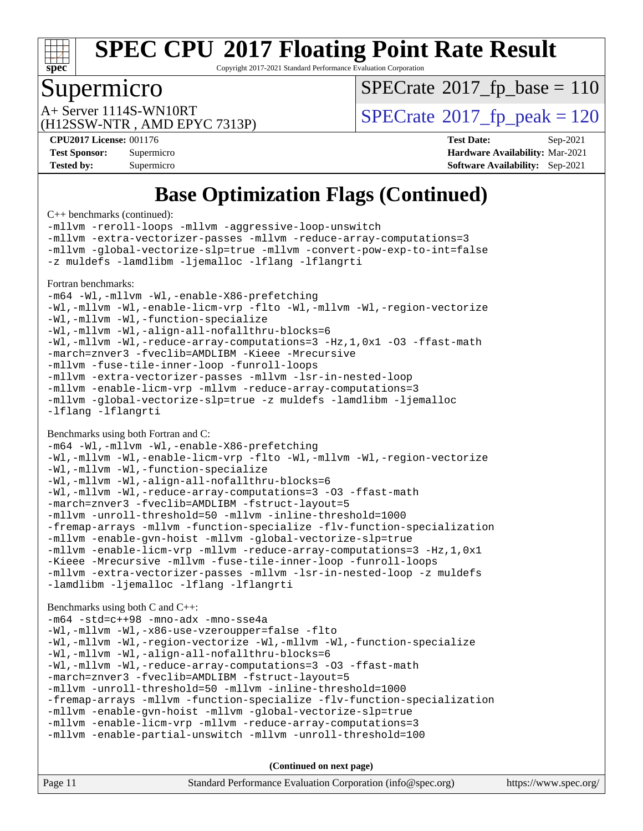

Copyright 2017-2021 Standard Performance Evaluation Corporation

### Supermicro

 $SPECTate$ <sup>®</sup>[2017\\_fp\\_base =](http://www.spec.org/auto/cpu2017/Docs/result-fields.html#SPECrate2017fpbase) 110

(H12SSW-NTR , AMD EPYC 7313P)

 $A+$  Server 1114S-WN10RT  $\begin{array}{c|c}\n\text{SPECrate} \text{\textdegree}2017\_fp\_peak = 120\n\end{array}$  $\begin{array}{c|c}\n\text{SPECrate} \text{\textdegree}2017\_fp\_peak = 120\n\end{array}$  $\begin{array}{c|c}\n\text{SPECrate} \text{\textdegree}2017\_fp\_peak = 120\n\end{array}$ 

**[CPU2017 License:](http://www.spec.org/auto/cpu2017/Docs/result-fields.html#CPU2017License)** 001176 **[Test Date:](http://www.spec.org/auto/cpu2017/Docs/result-fields.html#TestDate)** Sep-2021 **[Test Sponsor:](http://www.spec.org/auto/cpu2017/Docs/result-fields.html#TestSponsor)** Supermicro **[Hardware Availability:](http://www.spec.org/auto/cpu2017/Docs/result-fields.html#HardwareAvailability)** Mar-2021 **[Tested by:](http://www.spec.org/auto/cpu2017/Docs/result-fields.html#Testedby)** Supermicro **[Software Availability:](http://www.spec.org/auto/cpu2017/Docs/result-fields.html#SoftwareAvailability)** Sep-2021

## **[Base Optimization Flags \(Continued\)](http://www.spec.org/auto/cpu2017/Docs/result-fields.html#BaseOptimizationFlags)**

[C++ benchmarks](http://www.spec.org/auto/cpu2017/Docs/result-fields.html#CXXbenchmarks) (continued):

[-mllvm -reroll-loops](http://www.spec.org/cpu2017/results/res2021q4/cpu2017-20211012-29723.flags.html#user_CXXbase_F-reroll-loops) [-mllvm -aggressive-loop-unswitch](http://www.spec.org/cpu2017/results/res2021q4/cpu2017-20211012-29723.flags.html#user_CXXbase_F-aggressive-loop-unswitch_abd8177005d493f9a81f88ae32814acdc0422950e54bc53b0605c538e2e7549eb43d48c826089056b98aa2f0c142dc7ed1401fa1c97db9286a8c3ff748437b59) [-mllvm -extra-vectorizer-passes](http://www.spec.org/cpu2017/results/res2021q4/cpu2017-20211012-29723.flags.html#user_CXXbase_F-extra-vectorizer-passes_4bb9f90681e045f5ce38050c5c48e52c5a95ed819cbc44e12f6b389a91a38f1bfb7d9f51b06906bf2bd7ccd881019f6383c418982c71e3a142c10a060056d555) [-mllvm -reduce-array-computations=3](http://www.spec.org/cpu2017/results/res2021q4/cpu2017-20211012-29723.flags.html#user_CXXbase_F-reduce-array-computations) [-mllvm -global-vectorize-slp=true](http://www.spec.org/cpu2017/results/res2021q4/cpu2017-20211012-29723.flags.html#user_CXXbase_F-global-vectorize-slp_f701c289ed3fc79483844cad3672606d268e3123d2651e764a36e57810b634b30ff7af25c43ce4288d0e4c1cc47ba156fce6ed971bc0d0e53c4c557f353d3dec) [-mllvm -convert-pow-exp-to-int=false](http://www.spec.org/cpu2017/results/res2021q4/cpu2017-20211012-29723.flags.html#user_CXXbase_F-convert-pow-exp-to-int_48075d7f300181d7350b7c152e089ba974e4acf53c583458eae87b0ecd6f9aa5a8546e2797aca77a784d497b972647cfd65b81c02996ee1106af5ba1043433c1) [-z muldefs](http://www.spec.org/cpu2017/results/res2021q4/cpu2017-20211012-29723.flags.html#user_CXXbase_aocc-muldefs) [-lamdlibm](http://www.spec.org/cpu2017/results/res2021q4/cpu2017-20211012-29723.flags.html#user_CXXbase_F-lamdlibm) [-ljemalloc](http://www.spec.org/cpu2017/results/res2021q4/cpu2017-20211012-29723.flags.html#user_CXXbase_jemalloc-lib) [-lflang](http://www.spec.org/cpu2017/results/res2021q4/cpu2017-20211012-29723.flags.html#user_CXXbase_F-lflang) [-lflangrti](http://www.spec.org/cpu2017/results/res2021q4/cpu2017-20211012-29723.flags.html#user_CXXbase_F-lflangrti) [Fortran benchmarks](http://www.spec.org/auto/cpu2017/Docs/result-fields.html#Fortranbenchmarks): [-m64](http://www.spec.org/cpu2017/results/res2021q4/cpu2017-20211012-29723.flags.html#user_FCbase_F-m64) [-Wl,-mllvm -Wl,-enable-X86-prefetching](http://www.spec.org/cpu2017/results/res2021q4/cpu2017-20211012-29723.flags.html#user_FCbase_F-enable-X86-prefetching_362de7b2f7f327d498ff3502bcaa6d8937de40fbbc59a600e539433e6b2cb9ea5e30d4a00c3465ce74a160670b5fcaffd57d10fdc90b0d7ee2c6f387a6bf1aee) [-Wl,-mllvm -Wl,-enable-licm-vrp](http://www.spec.org/cpu2017/results/res2021q4/cpu2017-20211012-29723.flags.html#user_FCbase_F-enable-licm-vrp_65c4fc69039207ec88421e1591ba3bbf2ac715c2f390cac268ece6f40ae7757bd65f971ef38c9b70aedd2bf37e4037d3d64a7fe88db6aed78b6f244274772259) [-flto](http://www.spec.org/cpu2017/results/res2021q4/cpu2017-20211012-29723.flags.html#user_FCbase_aocc-flto) [-Wl,-mllvm -Wl,-region-vectorize](http://www.spec.org/cpu2017/results/res2021q4/cpu2017-20211012-29723.flags.html#user_FCbase_F-region-vectorize_fb6c6b5aa293c88efc6c7c2b52b20755e943585b1fe8658c35afef78727fff56e1a56891413c30e36b8e2a6f9a71126986319243e80eb6110b78b288f533c52b) [-Wl,-mllvm -Wl,-function-specialize](http://www.spec.org/cpu2017/results/res2021q4/cpu2017-20211012-29723.flags.html#user_FCbase_F-function-specialize_7e7e661e57922243ee67c9a1251cb8910e607325179a0ce7f2884e09a6f5d4a5ef0ae4f37e8a2a11c95fc48e931f06dc2b6016f14b511fcb441e048bef1b065a) [-Wl,-mllvm -Wl,-align-all-nofallthru-blocks=6](http://www.spec.org/cpu2017/results/res2021q4/cpu2017-20211012-29723.flags.html#user_FCbase_F-align-all-nofallthru-blocks) [-Wl,-mllvm -Wl,-reduce-array-computations=3](http://www.spec.org/cpu2017/results/res2021q4/cpu2017-20211012-29723.flags.html#user_FCbase_F-reduce-array-computations_b882aefe7a5dda4e33149f6299762b9a720dace3e498e13756f4c04e5a19edf5315c1f3993de2e61ec41e8c206231f84e05da7040e1bb5d69ba27d10a12507e4) [-Hz,1,0x1](http://www.spec.org/cpu2017/results/res2021q4/cpu2017-20211012-29723.flags.html#user_FCbase_F-save-array-metadata) [-O3](http://www.spec.org/cpu2017/results/res2021q4/cpu2017-20211012-29723.flags.html#user_FCbase_F-O3) [-ffast-math](http://www.spec.org/cpu2017/results/res2021q4/cpu2017-20211012-29723.flags.html#user_FCbase_aocc-ffast-math) [-march=znver3](http://www.spec.org/cpu2017/results/res2021q4/cpu2017-20211012-29723.flags.html#user_FCbase_aocc-march) [-fveclib=AMDLIBM](http://www.spec.org/cpu2017/results/res2021q4/cpu2017-20211012-29723.flags.html#user_FCbase_F-fveclib) [-Kieee](http://www.spec.org/cpu2017/results/res2021q4/cpu2017-20211012-29723.flags.html#user_FCbase_F-kieee) [-Mrecursive](http://www.spec.org/cpu2017/results/res2021q4/cpu2017-20211012-29723.flags.html#user_FCbase_F-mrecursive) [-mllvm -fuse-tile-inner-loop](http://www.spec.org/cpu2017/results/res2021q4/cpu2017-20211012-29723.flags.html#user_FCbase_F-fuse-tile-inner-loop_a96ec74f3ab7113ca948afab2f7df720fdaa7c20bd316986c0fe40ef5f82f2613ee26bde25c6cf421f527cd549c2b0b12b7e2cdf22e7a5a52600673d8851f1df) [-funroll-loops](http://www.spec.org/cpu2017/results/res2021q4/cpu2017-20211012-29723.flags.html#user_FCbase_aocc-unroll-loops) [-mllvm -extra-vectorizer-passes](http://www.spec.org/cpu2017/results/res2021q4/cpu2017-20211012-29723.flags.html#user_FCbase_F-extra-vectorizer-passes_4bb9f90681e045f5ce38050c5c48e52c5a95ed819cbc44e12f6b389a91a38f1bfb7d9f51b06906bf2bd7ccd881019f6383c418982c71e3a142c10a060056d555) [-mllvm -lsr-in-nested-loop](http://www.spec.org/cpu2017/results/res2021q4/cpu2017-20211012-29723.flags.html#user_FCbase_F-lsr-in-nested-loop_73f878522b3ccb742989d8e6de767863b372c2128b38f859376ee3fb883bc58dcc0955f53f856eb534bcc3be9d53927141e78ef6b7f1398bb0518a7b833043eb) [-mllvm -enable-licm-vrp](http://www.spec.org/cpu2017/results/res2021q4/cpu2017-20211012-29723.flags.html#user_FCbase_F-enable-licm-vrp_82fd83574dee81d8c8043a1355024a53ba7c23d449242d72368fd778ae4cd8625fb6c8e473e88c632367ccc13b0c321b9a13b8db897fcfc1592cf0205fd356b5) [-mllvm -reduce-array-computations=3](http://www.spec.org/cpu2017/results/res2021q4/cpu2017-20211012-29723.flags.html#user_FCbase_F-reduce-array-computations) [-mllvm -global-vectorize-slp=true](http://www.spec.org/cpu2017/results/res2021q4/cpu2017-20211012-29723.flags.html#user_FCbase_F-global-vectorize-slp_f701c289ed3fc79483844cad3672606d268e3123d2651e764a36e57810b634b30ff7af25c43ce4288d0e4c1cc47ba156fce6ed971bc0d0e53c4c557f353d3dec) [-z muldefs](http://www.spec.org/cpu2017/results/res2021q4/cpu2017-20211012-29723.flags.html#user_FCbase_aocc-muldefs) [-lamdlibm](http://www.spec.org/cpu2017/results/res2021q4/cpu2017-20211012-29723.flags.html#user_FCbase_F-lamdlibm) [-ljemalloc](http://www.spec.org/cpu2017/results/res2021q4/cpu2017-20211012-29723.flags.html#user_FCbase_jemalloc-lib) [-lflang](http://www.spec.org/cpu2017/results/res2021q4/cpu2017-20211012-29723.flags.html#user_FCbase_F-lflang) [-lflangrti](http://www.spec.org/cpu2017/results/res2021q4/cpu2017-20211012-29723.flags.html#user_FCbase_F-lflangrti) [Benchmarks using both Fortran and C](http://www.spec.org/auto/cpu2017/Docs/result-fields.html#BenchmarksusingbothFortranandC): [-m64](http://www.spec.org/cpu2017/results/res2021q4/cpu2017-20211012-29723.flags.html#user_CC_FCbase_F-m64) [-Wl,-mllvm -Wl,-enable-X86-prefetching](http://www.spec.org/cpu2017/results/res2021q4/cpu2017-20211012-29723.flags.html#user_CC_FCbase_F-enable-X86-prefetching_362de7b2f7f327d498ff3502bcaa6d8937de40fbbc59a600e539433e6b2cb9ea5e30d4a00c3465ce74a160670b5fcaffd57d10fdc90b0d7ee2c6f387a6bf1aee) [-Wl,-mllvm -Wl,-enable-licm-vrp](http://www.spec.org/cpu2017/results/res2021q4/cpu2017-20211012-29723.flags.html#user_CC_FCbase_F-enable-licm-vrp_65c4fc69039207ec88421e1591ba3bbf2ac715c2f390cac268ece6f40ae7757bd65f971ef38c9b70aedd2bf37e4037d3d64a7fe88db6aed78b6f244274772259) [-flto](http://www.spec.org/cpu2017/results/res2021q4/cpu2017-20211012-29723.flags.html#user_CC_FCbase_aocc-flto) [-Wl,-mllvm -Wl,-region-vectorize](http://www.spec.org/cpu2017/results/res2021q4/cpu2017-20211012-29723.flags.html#user_CC_FCbase_F-region-vectorize_fb6c6b5aa293c88efc6c7c2b52b20755e943585b1fe8658c35afef78727fff56e1a56891413c30e36b8e2a6f9a71126986319243e80eb6110b78b288f533c52b) [-Wl,-mllvm -Wl,-function-specialize](http://www.spec.org/cpu2017/results/res2021q4/cpu2017-20211012-29723.flags.html#user_CC_FCbase_F-function-specialize_7e7e661e57922243ee67c9a1251cb8910e607325179a0ce7f2884e09a6f5d4a5ef0ae4f37e8a2a11c95fc48e931f06dc2b6016f14b511fcb441e048bef1b065a) [-Wl,-mllvm -Wl,-align-all-nofallthru-blocks=6](http://www.spec.org/cpu2017/results/res2021q4/cpu2017-20211012-29723.flags.html#user_CC_FCbase_F-align-all-nofallthru-blocks) [-Wl,-mllvm -Wl,-reduce-array-computations=3](http://www.spec.org/cpu2017/results/res2021q4/cpu2017-20211012-29723.flags.html#user_CC_FCbase_F-reduce-array-computations_b882aefe7a5dda4e33149f6299762b9a720dace3e498e13756f4c04e5a19edf5315c1f3993de2e61ec41e8c206231f84e05da7040e1bb5d69ba27d10a12507e4) [-O3](http://www.spec.org/cpu2017/results/res2021q4/cpu2017-20211012-29723.flags.html#user_CC_FCbase_F-O3) [-ffast-math](http://www.spec.org/cpu2017/results/res2021q4/cpu2017-20211012-29723.flags.html#user_CC_FCbase_aocc-ffast-math) [-march=znver3](http://www.spec.org/cpu2017/results/res2021q4/cpu2017-20211012-29723.flags.html#user_CC_FCbase_aocc-march) [-fveclib=AMDLIBM](http://www.spec.org/cpu2017/results/res2021q4/cpu2017-20211012-29723.flags.html#user_CC_FCbase_F-fveclib) [-fstruct-layout=5](http://www.spec.org/cpu2017/results/res2021q4/cpu2017-20211012-29723.flags.html#user_CC_FCbase_F-struct-layout) [-mllvm -unroll-threshold=50](http://www.spec.org/cpu2017/results/res2021q4/cpu2017-20211012-29723.flags.html#user_CC_FCbase_F-unroll-threshold_458874500b2c105d6d5cb4d7a611c40e2b16e9e3d26b355fea72d644c3673b4de4b3932662f0ed3dbec75c491a13da2d2ca81180bd779dc531083ef1e1e549dc) [-mllvm -inline-threshold=1000](http://www.spec.org/cpu2017/results/res2021q4/cpu2017-20211012-29723.flags.html#user_CC_FCbase_F-inline-threshold_b7832241b0a6397e4ecdbaf0eb7defdc10f885c2a282fa3240fdc99844d543fda39cf8a4a9dccf68cf19b5438ac3b455264f478df15da0f4988afa40d8243bab) [-fremap-arrays](http://www.spec.org/cpu2017/results/res2021q4/cpu2017-20211012-29723.flags.html#user_CC_FCbase_F-fremap-arrays) [-mllvm -function-specialize](http://www.spec.org/cpu2017/results/res2021q4/cpu2017-20211012-29723.flags.html#user_CC_FCbase_F-function-specialize_233b3bdba86027f1b094368157e481c5bc59f40286dc25bfadc1858dcd5745c24fd30d5f188710db7fea399bcc9f44a80b3ce3aacc70a8870250c3ae5e1f35b8) [-flv-function-specialization](http://www.spec.org/cpu2017/results/res2021q4/cpu2017-20211012-29723.flags.html#user_CC_FCbase_F-flv-function-specialization) [-mllvm -enable-gvn-hoist](http://www.spec.org/cpu2017/results/res2021q4/cpu2017-20211012-29723.flags.html#user_CC_FCbase_F-enable-gvn-hoist_e5856354646dd6ca1333a0ad99b817e4cf8932b91b82809fd8fd47ceff7b22a89eba5c98fd3e3fa5200368fd772cec3dd56abc3c8f7b655a71b9f9848dddedd5) [-mllvm -global-vectorize-slp=true](http://www.spec.org/cpu2017/results/res2021q4/cpu2017-20211012-29723.flags.html#user_CC_FCbase_F-global-vectorize-slp_f701c289ed3fc79483844cad3672606d268e3123d2651e764a36e57810b634b30ff7af25c43ce4288d0e4c1cc47ba156fce6ed971bc0d0e53c4c557f353d3dec) [-mllvm -enable-licm-vrp](http://www.spec.org/cpu2017/results/res2021q4/cpu2017-20211012-29723.flags.html#user_CC_FCbase_F-enable-licm-vrp_82fd83574dee81d8c8043a1355024a53ba7c23d449242d72368fd778ae4cd8625fb6c8e473e88c632367ccc13b0c321b9a13b8db897fcfc1592cf0205fd356b5) [-mllvm -reduce-array-computations=3](http://www.spec.org/cpu2017/results/res2021q4/cpu2017-20211012-29723.flags.html#user_CC_FCbase_F-reduce-array-computations) [-Hz,1,0x1](http://www.spec.org/cpu2017/results/res2021q4/cpu2017-20211012-29723.flags.html#user_CC_FCbase_F-save-array-metadata) [-Kieee](http://www.spec.org/cpu2017/results/res2021q4/cpu2017-20211012-29723.flags.html#user_CC_FCbase_F-kieee) [-Mrecursive](http://www.spec.org/cpu2017/results/res2021q4/cpu2017-20211012-29723.flags.html#user_CC_FCbase_F-mrecursive) [-mllvm -fuse-tile-inner-loop](http://www.spec.org/cpu2017/results/res2021q4/cpu2017-20211012-29723.flags.html#user_CC_FCbase_F-fuse-tile-inner-loop_a96ec74f3ab7113ca948afab2f7df720fdaa7c20bd316986c0fe40ef5f82f2613ee26bde25c6cf421f527cd549c2b0b12b7e2cdf22e7a5a52600673d8851f1df) [-funroll-loops](http://www.spec.org/cpu2017/results/res2021q4/cpu2017-20211012-29723.flags.html#user_CC_FCbase_aocc-unroll-loops) [-mllvm -extra-vectorizer-passes](http://www.spec.org/cpu2017/results/res2021q4/cpu2017-20211012-29723.flags.html#user_CC_FCbase_F-extra-vectorizer-passes_4bb9f90681e045f5ce38050c5c48e52c5a95ed819cbc44e12f6b389a91a38f1bfb7d9f51b06906bf2bd7ccd881019f6383c418982c71e3a142c10a060056d555) [-mllvm -lsr-in-nested-loop](http://www.spec.org/cpu2017/results/res2021q4/cpu2017-20211012-29723.flags.html#user_CC_FCbase_F-lsr-in-nested-loop_73f878522b3ccb742989d8e6de767863b372c2128b38f859376ee3fb883bc58dcc0955f53f856eb534bcc3be9d53927141e78ef6b7f1398bb0518a7b833043eb) [-z muldefs](http://www.spec.org/cpu2017/results/res2021q4/cpu2017-20211012-29723.flags.html#user_CC_FCbase_aocc-muldefs) [-lamdlibm](http://www.spec.org/cpu2017/results/res2021q4/cpu2017-20211012-29723.flags.html#user_CC_FCbase_F-lamdlibm) [-ljemalloc](http://www.spec.org/cpu2017/results/res2021q4/cpu2017-20211012-29723.flags.html#user_CC_FCbase_jemalloc-lib) [-lflang](http://www.spec.org/cpu2017/results/res2021q4/cpu2017-20211012-29723.flags.html#user_CC_FCbase_F-lflang) [-lflangrti](http://www.spec.org/cpu2017/results/res2021q4/cpu2017-20211012-29723.flags.html#user_CC_FCbase_F-lflangrti) [Benchmarks using both C and C++](http://www.spec.org/auto/cpu2017/Docs/result-fields.html#BenchmarksusingbothCandCXX): [-m64](http://www.spec.org/cpu2017/results/res2021q4/cpu2017-20211012-29723.flags.html#user_CC_CXXbase_F-m64) [-std=c++98](http://www.spec.org/cpu2017/results/res2021q4/cpu2017-20211012-29723.flags.html#user_CC_CXXbase_std-cpp) [-mno-adx](http://www.spec.org/cpu2017/results/res2021q4/cpu2017-20211012-29723.flags.html#user_CC_CXXbase_F-mno-adx) [-mno-sse4a](http://www.spec.org/cpu2017/results/res2021q4/cpu2017-20211012-29723.flags.html#user_CC_CXXbase_F-mno-sse4a) [-Wl,-mllvm -Wl,-x86-use-vzeroupper=false](http://www.spec.org/cpu2017/results/res2021q4/cpu2017-20211012-29723.flags.html#user_CC_CXXbase_F-use-vzeroupper_f792211b0552b0142c11cf651c85f88d7eca3e3e6d4ab29ab8b0b7be9c7d83df7aebb846b5dded1424ec84d39acb59d058815f97bc3ae9de4ba00ee4e2945c83) [-flto](http://www.spec.org/cpu2017/results/res2021q4/cpu2017-20211012-29723.flags.html#user_CC_CXXbase_aocc-flto) [-Wl,-mllvm -Wl,-region-vectorize](http://www.spec.org/cpu2017/results/res2021q4/cpu2017-20211012-29723.flags.html#user_CC_CXXbase_F-region-vectorize_fb6c6b5aa293c88efc6c7c2b52b20755e943585b1fe8658c35afef78727fff56e1a56891413c30e36b8e2a6f9a71126986319243e80eb6110b78b288f533c52b) [-Wl,-mllvm -Wl,-function-specialize](http://www.spec.org/cpu2017/results/res2021q4/cpu2017-20211012-29723.flags.html#user_CC_CXXbase_F-function-specialize_7e7e661e57922243ee67c9a1251cb8910e607325179a0ce7f2884e09a6f5d4a5ef0ae4f37e8a2a11c95fc48e931f06dc2b6016f14b511fcb441e048bef1b065a) [-Wl,-mllvm -Wl,-align-all-nofallthru-blocks=6](http://www.spec.org/cpu2017/results/res2021q4/cpu2017-20211012-29723.flags.html#user_CC_CXXbase_F-align-all-nofallthru-blocks) [-Wl,-mllvm -Wl,-reduce-array-computations=3](http://www.spec.org/cpu2017/results/res2021q4/cpu2017-20211012-29723.flags.html#user_CC_CXXbase_F-reduce-array-computations_b882aefe7a5dda4e33149f6299762b9a720dace3e498e13756f4c04e5a19edf5315c1f3993de2e61ec41e8c206231f84e05da7040e1bb5d69ba27d10a12507e4) [-O3](http://www.spec.org/cpu2017/results/res2021q4/cpu2017-20211012-29723.flags.html#user_CC_CXXbase_F-O3) [-ffast-math](http://www.spec.org/cpu2017/results/res2021q4/cpu2017-20211012-29723.flags.html#user_CC_CXXbase_aocc-ffast-math) [-march=znver3](http://www.spec.org/cpu2017/results/res2021q4/cpu2017-20211012-29723.flags.html#user_CC_CXXbase_aocc-march) [-fveclib=AMDLIBM](http://www.spec.org/cpu2017/results/res2021q4/cpu2017-20211012-29723.flags.html#user_CC_CXXbase_F-fveclib) [-fstruct-layout=5](http://www.spec.org/cpu2017/results/res2021q4/cpu2017-20211012-29723.flags.html#user_CC_CXXbase_F-struct-layout) [-mllvm -unroll-threshold=50](http://www.spec.org/cpu2017/results/res2021q4/cpu2017-20211012-29723.flags.html#user_CC_CXXbase_F-unroll-threshold_458874500b2c105d6d5cb4d7a611c40e2b16e9e3d26b355fea72d644c3673b4de4b3932662f0ed3dbec75c491a13da2d2ca81180bd779dc531083ef1e1e549dc) [-mllvm -inline-threshold=1000](http://www.spec.org/cpu2017/results/res2021q4/cpu2017-20211012-29723.flags.html#user_CC_CXXbase_F-inline-threshold_b7832241b0a6397e4ecdbaf0eb7defdc10f885c2a282fa3240fdc99844d543fda39cf8a4a9dccf68cf19b5438ac3b455264f478df15da0f4988afa40d8243bab) [-fremap-arrays](http://www.spec.org/cpu2017/results/res2021q4/cpu2017-20211012-29723.flags.html#user_CC_CXXbase_F-fremap-arrays) [-mllvm -function-specialize](http://www.spec.org/cpu2017/results/res2021q4/cpu2017-20211012-29723.flags.html#user_CC_CXXbase_F-function-specialize_233b3bdba86027f1b094368157e481c5bc59f40286dc25bfadc1858dcd5745c24fd30d5f188710db7fea399bcc9f44a80b3ce3aacc70a8870250c3ae5e1f35b8) [-flv-function-specialization](http://www.spec.org/cpu2017/results/res2021q4/cpu2017-20211012-29723.flags.html#user_CC_CXXbase_F-flv-function-specialization) [-mllvm -enable-gvn-hoist](http://www.spec.org/cpu2017/results/res2021q4/cpu2017-20211012-29723.flags.html#user_CC_CXXbase_F-enable-gvn-hoist_e5856354646dd6ca1333a0ad99b817e4cf8932b91b82809fd8fd47ceff7b22a89eba5c98fd3e3fa5200368fd772cec3dd56abc3c8f7b655a71b9f9848dddedd5) [-mllvm -global-vectorize-slp=true](http://www.spec.org/cpu2017/results/res2021q4/cpu2017-20211012-29723.flags.html#user_CC_CXXbase_F-global-vectorize-slp_f701c289ed3fc79483844cad3672606d268e3123d2651e764a36e57810b634b30ff7af25c43ce4288d0e4c1cc47ba156fce6ed971bc0d0e53c4c557f353d3dec) [-mllvm -enable-licm-vrp](http://www.spec.org/cpu2017/results/res2021q4/cpu2017-20211012-29723.flags.html#user_CC_CXXbase_F-enable-licm-vrp_82fd83574dee81d8c8043a1355024a53ba7c23d449242d72368fd778ae4cd8625fb6c8e473e88c632367ccc13b0c321b9a13b8db897fcfc1592cf0205fd356b5) [-mllvm -reduce-array-computations=3](http://www.spec.org/cpu2017/results/res2021q4/cpu2017-20211012-29723.flags.html#user_CC_CXXbase_F-reduce-array-computations) [-mllvm -enable-partial-unswitch](http://www.spec.org/cpu2017/results/res2021q4/cpu2017-20211012-29723.flags.html#user_CC_CXXbase_F-enable-partial-unswitch_6e1c33f981d77963b1eaf834973128a7f33ce3f8e27f54689656697a35e89dcc875281e0e6283d043e32f367dcb605ba0e307a92e830f7e326789fa6c61b35d3) [-mllvm -unroll-threshold=100](http://www.spec.org/cpu2017/results/res2021q4/cpu2017-20211012-29723.flags.html#user_CC_CXXbase_F-unroll-threshold)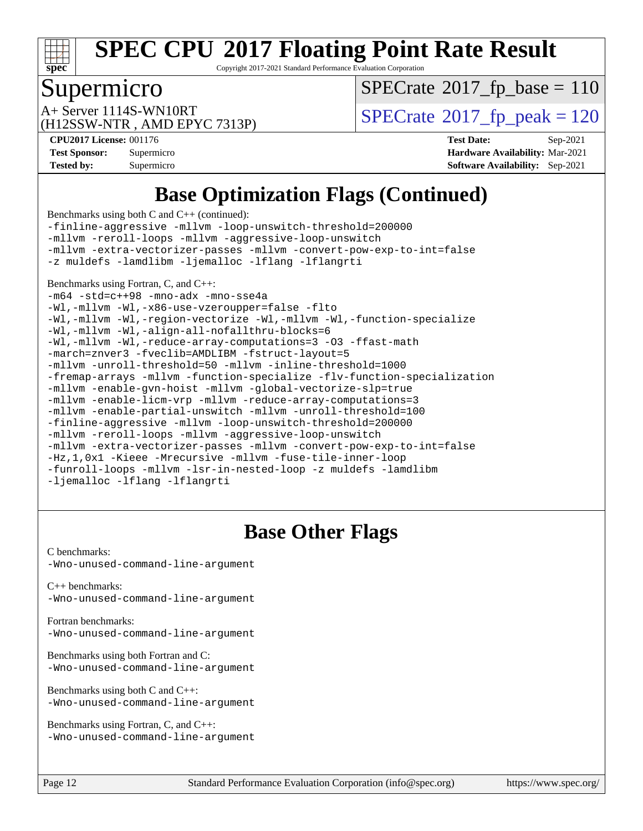

Copyright 2017-2021 Standard Performance Evaluation Corporation

## Supermicro

 $SPECTate$ <sup>®</sup>[2017\\_fp\\_base =](http://www.spec.org/auto/cpu2017/Docs/result-fields.html#SPECrate2017fpbase) 110

(H12SSW-NTR , AMD EPYC 7313P)

 $A+$  Server 1114S-WN10RT  $\begin{array}{c|c}\n\text{SPECrate} \text{\textdegree}2017\_fp\_peak = 120\n\end{array}$  $\begin{array}{c|c}\n\text{SPECrate} \text{\textdegree}2017\_fp\_peak = 120\n\end{array}$  $\begin{array}{c|c}\n\text{SPECrate} \text{\textdegree}2017\_fp\_peak = 120\n\end{array}$ 

**[Tested by:](http://www.spec.org/auto/cpu2017/Docs/result-fields.html#Testedby)** Supermicro **[Software Availability:](http://www.spec.org/auto/cpu2017/Docs/result-fields.html#SoftwareAvailability)** Sep-2021

**[CPU2017 License:](http://www.spec.org/auto/cpu2017/Docs/result-fields.html#CPU2017License)** 001176 **[Test Date:](http://www.spec.org/auto/cpu2017/Docs/result-fields.html#TestDate)** Sep-2021 **[Test Sponsor:](http://www.spec.org/auto/cpu2017/Docs/result-fields.html#TestSponsor)** Supermicro **[Hardware Availability:](http://www.spec.org/auto/cpu2017/Docs/result-fields.html#HardwareAvailability)** Mar-2021

## **[Base Optimization Flags \(Continued\)](http://www.spec.org/auto/cpu2017/Docs/result-fields.html#BaseOptimizationFlags)**

[Benchmarks using both C and C++](http://www.spec.org/auto/cpu2017/Docs/result-fields.html#BenchmarksusingbothCandCXX) (continued):

[-finline-aggressive](http://www.spec.org/cpu2017/results/res2021q4/cpu2017-20211012-29723.flags.html#user_CC_CXXbase_F-finline-aggressive) [-mllvm -loop-unswitch-threshold=200000](http://www.spec.org/cpu2017/results/res2021q4/cpu2017-20211012-29723.flags.html#user_CC_CXXbase_F-loop-unswitch-threshold_f9a82ae3270e55b5fbf79d0d96ee93606b73edbbe527d20b18b7bff1a3a146ad50cfc7454c5297978340ae9213029016a7d16221274d672d3f7f42ed25274e1d) [-mllvm -reroll-loops](http://www.spec.org/cpu2017/results/res2021q4/cpu2017-20211012-29723.flags.html#user_CC_CXXbase_F-reroll-loops) [-mllvm -aggressive-loop-unswitch](http://www.spec.org/cpu2017/results/res2021q4/cpu2017-20211012-29723.flags.html#user_CC_CXXbase_F-aggressive-loop-unswitch_abd8177005d493f9a81f88ae32814acdc0422950e54bc53b0605c538e2e7549eb43d48c826089056b98aa2f0c142dc7ed1401fa1c97db9286a8c3ff748437b59) [-mllvm -extra-vectorizer-passes](http://www.spec.org/cpu2017/results/res2021q4/cpu2017-20211012-29723.flags.html#user_CC_CXXbase_F-extra-vectorizer-passes_4bb9f90681e045f5ce38050c5c48e52c5a95ed819cbc44e12f6b389a91a38f1bfb7d9f51b06906bf2bd7ccd881019f6383c418982c71e3a142c10a060056d555) [-mllvm -convert-pow-exp-to-int=false](http://www.spec.org/cpu2017/results/res2021q4/cpu2017-20211012-29723.flags.html#user_CC_CXXbase_F-convert-pow-exp-to-int_48075d7f300181d7350b7c152e089ba974e4acf53c583458eae87b0ecd6f9aa5a8546e2797aca77a784d497b972647cfd65b81c02996ee1106af5ba1043433c1) [-z muldefs](http://www.spec.org/cpu2017/results/res2021q4/cpu2017-20211012-29723.flags.html#user_CC_CXXbase_aocc-muldefs) [-lamdlibm](http://www.spec.org/cpu2017/results/res2021q4/cpu2017-20211012-29723.flags.html#user_CC_CXXbase_F-lamdlibm) [-ljemalloc](http://www.spec.org/cpu2017/results/res2021q4/cpu2017-20211012-29723.flags.html#user_CC_CXXbase_jemalloc-lib) [-lflang](http://www.spec.org/cpu2017/results/res2021q4/cpu2017-20211012-29723.flags.html#user_CC_CXXbase_F-lflang) [-lflangrti](http://www.spec.org/cpu2017/results/res2021q4/cpu2017-20211012-29723.flags.html#user_CC_CXXbase_F-lflangrti)

#### [Benchmarks using Fortran, C, and C++:](http://www.spec.org/auto/cpu2017/Docs/result-fields.html#BenchmarksusingFortranCandCXX)

[-m64](http://www.spec.org/cpu2017/results/res2021q4/cpu2017-20211012-29723.flags.html#user_CC_CXX_FCbase_F-m64) [-std=c++98](http://www.spec.org/cpu2017/results/res2021q4/cpu2017-20211012-29723.flags.html#user_CC_CXX_FCbase_std-cpp) [-mno-adx](http://www.spec.org/cpu2017/results/res2021q4/cpu2017-20211012-29723.flags.html#user_CC_CXX_FCbase_F-mno-adx) [-mno-sse4a](http://www.spec.org/cpu2017/results/res2021q4/cpu2017-20211012-29723.flags.html#user_CC_CXX_FCbase_F-mno-sse4a) [-Wl,-mllvm -Wl,-x86-use-vzeroupper=false](http://www.spec.org/cpu2017/results/res2021q4/cpu2017-20211012-29723.flags.html#user_CC_CXX_FCbase_F-use-vzeroupper_f792211b0552b0142c11cf651c85f88d7eca3e3e6d4ab29ab8b0b7be9c7d83df7aebb846b5dded1424ec84d39acb59d058815f97bc3ae9de4ba00ee4e2945c83) [-flto](http://www.spec.org/cpu2017/results/res2021q4/cpu2017-20211012-29723.flags.html#user_CC_CXX_FCbase_aocc-flto) [-Wl,-mllvm -Wl,-region-vectorize](http://www.spec.org/cpu2017/results/res2021q4/cpu2017-20211012-29723.flags.html#user_CC_CXX_FCbase_F-region-vectorize_fb6c6b5aa293c88efc6c7c2b52b20755e943585b1fe8658c35afef78727fff56e1a56891413c30e36b8e2a6f9a71126986319243e80eb6110b78b288f533c52b) [-Wl,-mllvm -Wl,-function-specialize](http://www.spec.org/cpu2017/results/res2021q4/cpu2017-20211012-29723.flags.html#user_CC_CXX_FCbase_F-function-specialize_7e7e661e57922243ee67c9a1251cb8910e607325179a0ce7f2884e09a6f5d4a5ef0ae4f37e8a2a11c95fc48e931f06dc2b6016f14b511fcb441e048bef1b065a) [-Wl,-mllvm -Wl,-align-all-nofallthru-blocks=6](http://www.spec.org/cpu2017/results/res2021q4/cpu2017-20211012-29723.flags.html#user_CC_CXX_FCbase_F-align-all-nofallthru-blocks) [-Wl,-mllvm -Wl,-reduce-array-computations=3](http://www.spec.org/cpu2017/results/res2021q4/cpu2017-20211012-29723.flags.html#user_CC_CXX_FCbase_F-reduce-array-computations_b882aefe7a5dda4e33149f6299762b9a720dace3e498e13756f4c04e5a19edf5315c1f3993de2e61ec41e8c206231f84e05da7040e1bb5d69ba27d10a12507e4) [-O3](http://www.spec.org/cpu2017/results/res2021q4/cpu2017-20211012-29723.flags.html#user_CC_CXX_FCbase_F-O3) [-ffast-math](http://www.spec.org/cpu2017/results/res2021q4/cpu2017-20211012-29723.flags.html#user_CC_CXX_FCbase_aocc-ffast-math) [-march=znver3](http://www.spec.org/cpu2017/results/res2021q4/cpu2017-20211012-29723.flags.html#user_CC_CXX_FCbase_aocc-march) [-fveclib=AMDLIBM](http://www.spec.org/cpu2017/results/res2021q4/cpu2017-20211012-29723.flags.html#user_CC_CXX_FCbase_F-fveclib) [-fstruct-layout=5](http://www.spec.org/cpu2017/results/res2021q4/cpu2017-20211012-29723.flags.html#user_CC_CXX_FCbase_F-struct-layout) [-mllvm -unroll-threshold=50](http://www.spec.org/cpu2017/results/res2021q4/cpu2017-20211012-29723.flags.html#user_CC_CXX_FCbase_F-unroll-threshold_458874500b2c105d6d5cb4d7a611c40e2b16e9e3d26b355fea72d644c3673b4de4b3932662f0ed3dbec75c491a13da2d2ca81180bd779dc531083ef1e1e549dc) [-mllvm -inline-threshold=1000](http://www.spec.org/cpu2017/results/res2021q4/cpu2017-20211012-29723.flags.html#user_CC_CXX_FCbase_F-inline-threshold_b7832241b0a6397e4ecdbaf0eb7defdc10f885c2a282fa3240fdc99844d543fda39cf8a4a9dccf68cf19b5438ac3b455264f478df15da0f4988afa40d8243bab) [-fremap-arrays](http://www.spec.org/cpu2017/results/res2021q4/cpu2017-20211012-29723.flags.html#user_CC_CXX_FCbase_F-fremap-arrays) [-mllvm -function-specialize](http://www.spec.org/cpu2017/results/res2021q4/cpu2017-20211012-29723.flags.html#user_CC_CXX_FCbase_F-function-specialize_233b3bdba86027f1b094368157e481c5bc59f40286dc25bfadc1858dcd5745c24fd30d5f188710db7fea399bcc9f44a80b3ce3aacc70a8870250c3ae5e1f35b8) [-flv-function-specialization](http://www.spec.org/cpu2017/results/res2021q4/cpu2017-20211012-29723.flags.html#user_CC_CXX_FCbase_F-flv-function-specialization) [-mllvm -enable-gvn-hoist](http://www.spec.org/cpu2017/results/res2021q4/cpu2017-20211012-29723.flags.html#user_CC_CXX_FCbase_F-enable-gvn-hoist_e5856354646dd6ca1333a0ad99b817e4cf8932b91b82809fd8fd47ceff7b22a89eba5c98fd3e3fa5200368fd772cec3dd56abc3c8f7b655a71b9f9848dddedd5) [-mllvm -global-vectorize-slp=true](http://www.spec.org/cpu2017/results/res2021q4/cpu2017-20211012-29723.flags.html#user_CC_CXX_FCbase_F-global-vectorize-slp_f701c289ed3fc79483844cad3672606d268e3123d2651e764a36e57810b634b30ff7af25c43ce4288d0e4c1cc47ba156fce6ed971bc0d0e53c4c557f353d3dec) [-mllvm -enable-licm-vrp](http://www.spec.org/cpu2017/results/res2021q4/cpu2017-20211012-29723.flags.html#user_CC_CXX_FCbase_F-enable-licm-vrp_82fd83574dee81d8c8043a1355024a53ba7c23d449242d72368fd778ae4cd8625fb6c8e473e88c632367ccc13b0c321b9a13b8db897fcfc1592cf0205fd356b5) [-mllvm -reduce-array-computations=3](http://www.spec.org/cpu2017/results/res2021q4/cpu2017-20211012-29723.flags.html#user_CC_CXX_FCbase_F-reduce-array-computations) [-mllvm -enable-partial-unswitch](http://www.spec.org/cpu2017/results/res2021q4/cpu2017-20211012-29723.flags.html#user_CC_CXX_FCbase_F-enable-partial-unswitch_6e1c33f981d77963b1eaf834973128a7f33ce3f8e27f54689656697a35e89dcc875281e0e6283d043e32f367dcb605ba0e307a92e830f7e326789fa6c61b35d3) [-mllvm -unroll-threshold=100](http://www.spec.org/cpu2017/results/res2021q4/cpu2017-20211012-29723.flags.html#user_CC_CXX_FCbase_F-unroll-threshold) [-finline-aggressive](http://www.spec.org/cpu2017/results/res2021q4/cpu2017-20211012-29723.flags.html#user_CC_CXX_FCbase_F-finline-aggressive) [-mllvm -loop-unswitch-threshold=200000](http://www.spec.org/cpu2017/results/res2021q4/cpu2017-20211012-29723.flags.html#user_CC_CXX_FCbase_F-loop-unswitch-threshold_f9a82ae3270e55b5fbf79d0d96ee93606b73edbbe527d20b18b7bff1a3a146ad50cfc7454c5297978340ae9213029016a7d16221274d672d3f7f42ed25274e1d) [-mllvm -reroll-loops](http://www.spec.org/cpu2017/results/res2021q4/cpu2017-20211012-29723.flags.html#user_CC_CXX_FCbase_F-reroll-loops) [-mllvm -aggressive-loop-unswitch](http://www.spec.org/cpu2017/results/res2021q4/cpu2017-20211012-29723.flags.html#user_CC_CXX_FCbase_F-aggressive-loop-unswitch_abd8177005d493f9a81f88ae32814acdc0422950e54bc53b0605c538e2e7549eb43d48c826089056b98aa2f0c142dc7ed1401fa1c97db9286a8c3ff748437b59) [-mllvm -extra-vectorizer-passes](http://www.spec.org/cpu2017/results/res2021q4/cpu2017-20211012-29723.flags.html#user_CC_CXX_FCbase_F-extra-vectorizer-passes_4bb9f90681e045f5ce38050c5c48e52c5a95ed819cbc44e12f6b389a91a38f1bfb7d9f51b06906bf2bd7ccd881019f6383c418982c71e3a142c10a060056d555) [-mllvm -convert-pow-exp-to-int=false](http://www.spec.org/cpu2017/results/res2021q4/cpu2017-20211012-29723.flags.html#user_CC_CXX_FCbase_F-convert-pow-exp-to-int_48075d7f300181d7350b7c152e089ba974e4acf53c583458eae87b0ecd6f9aa5a8546e2797aca77a784d497b972647cfd65b81c02996ee1106af5ba1043433c1) [-Hz,1,0x1](http://www.spec.org/cpu2017/results/res2021q4/cpu2017-20211012-29723.flags.html#user_CC_CXX_FCbase_F-save-array-metadata) [-Kieee](http://www.spec.org/cpu2017/results/res2021q4/cpu2017-20211012-29723.flags.html#user_CC_CXX_FCbase_F-kieee) [-Mrecursive](http://www.spec.org/cpu2017/results/res2021q4/cpu2017-20211012-29723.flags.html#user_CC_CXX_FCbase_F-mrecursive) [-mllvm -fuse-tile-inner-loop](http://www.spec.org/cpu2017/results/res2021q4/cpu2017-20211012-29723.flags.html#user_CC_CXX_FCbase_F-fuse-tile-inner-loop_a96ec74f3ab7113ca948afab2f7df720fdaa7c20bd316986c0fe40ef5f82f2613ee26bde25c6cf421f527cd549c2b0b12b7e2cdf22e7a5a52600673d8851f1df) [-funroll-loops](http://www.spec.org/cpu2017/results/res2021q4/cpu2017-20211012-29723.flags.html#user_CC_CXX_FCbase_aocc-unroll-loops) [-mllvm -lsr-in-nested-loop](http://www.spec.org/cpu2017/results/res2021q4/cpu2017-20211012-29723.flags.html#user_CC_CXX_FCbase_F-lsr-in-nested-loop_73f878522b3ccb742989d8e6de767863b372c2128b38f859376ee3fb883bc58dcc0955f53f856eb534bcc3be9d53927141e78ef6b7f1398bb0518a7b833043eb) [-z muldefs](http://www.spec.org/cpu2017/results/res2021q4/cpu2017-20211012-29723.flags.html#user_CC_CXX_FCbase_aocc-muldefs) [-lamdlibm](http://www.spec.org/cpu2017/results/res2021q4/cpu2017-20211012-29723.flags.html#user_CC_CXX_FCbase_F-lamdlibm) [-ljemalloc](http://www.spec.org/cpu2017/results/res2021q4/cpu2017-20211012-29723.flags.html#user_CC_CXX_FCbase_jemalloc-lib) [-lflang](http://www.spec.org/cpu2017/results/res2021q4/cpu2017-20211012-29723.flags.html#user_CC_CXX_FCbase_F-lflang) [-lflangrti](http://www.spec.org/cpu2017/results/res2021q4/cpu2017-20211012-29723.flags.html#user_CC_CXX_FCbase_F-lflangrti)

#### **[Base Other Flags](http://www.spec.org/auto/cpu2017/Docs/result-fields.html#BaseOtherFlags)**

[C benchmarks](http://www.spec.org/auto/cpu2017/Docs/result-fields.html#Cbenchmarks): [-Wno-unused-command-line-argument](http://www.spec.org/cpu2017/results/res2021q4/cpu2017-20211012-29723.flags.html#user_CCbase_F-Wno-unused-command-line-argument)

[C++ benchmarks:](http://www.spec.org/auto/cpu2017/Docs/result-fields.html#CXXbenchmarks) [-Wno-unused-command-line-argument](http://www.spec.org/cpu2017/results/res2021q4/cpu2017-20211012-29723.flags.html#user_CXXbase_F-Wno-unused-command-line-argument)

[Fortran benchmarks](http://www.spec.org/auto/cpu2017/Docs/result-fields.html#Fortranbenchmarks): [-Wno-unused-command-line-argument](http://www.spec.org/cpu2017/results/res2021q4/cpu2017-20211012-29723.flags.html#user_FCbase_F-Wno-unused-command-line-argument)

[Benchmarks using both Fortran and C](http://www.spec.org/auto/cpu2017/Docs/result-fields.html#BenchmarksusingbothFortranandC): [-Wno-unused-command-line-argument](http://www.spec.org/cpu2017/results/res2021q4/cpu2017-20211012-29723.flags.html#user_CC_FCbase_F-Wno-unused-command-line-argument)

[Benchmarks using both C and C++](http://www.spec.org/auto/cpu2017/Docs/result-fields.html#BenchmarksusingbothCandCXX): [-Wno-unused-command-line-argument](http://www.spec.org/cpu2017/results/res2021q4/cpu2017-20211012-29723.flags.html#user_CC_CXXbase_F-Wno-unused-command-line-argument)

[Benchmarks using Fortran, C, and C++:](http://www.spec.org/auto/cpu2017/Docs/result-fields.html#BenchmarksusingFortranCandCXX) [-Wno-unused-command-line-argument](http://www.spec.org/cpu2017/results/res2021q4/cpu2017-20211012-29723.flags.html#user_CC_CXX_FCbase_F-Wno-unused-command-line-argument)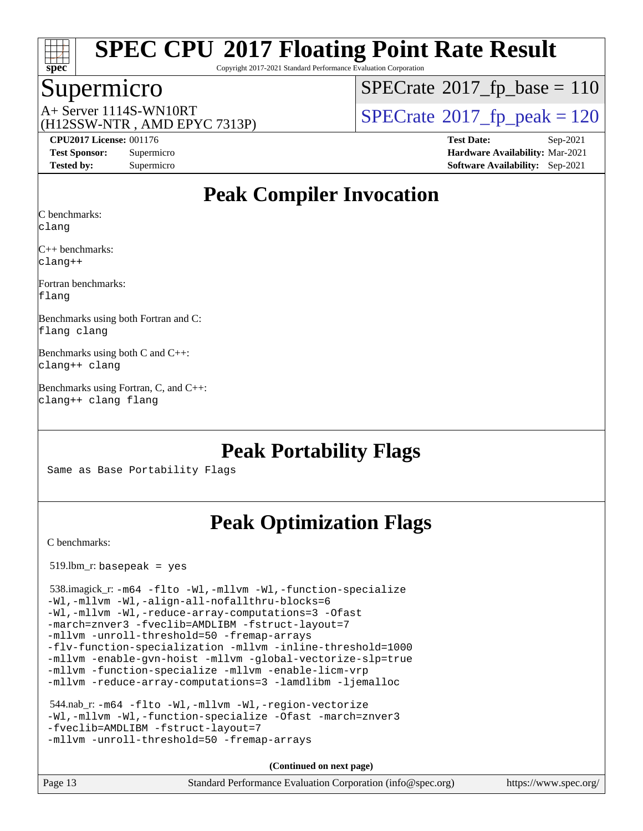

Copyright 2017-2021 Standard Performance Evaluation Corporation

#### Supermicro

 $SPECTate$ <sup>®</sup>[2017\\_fp\\_base =](http://www.spec.org/auto/cpu2017/Docs/result-fields.html#SPECrate2017fpbase) 110

(H12SSW-NTR , AMD EPYC 7313P)

 $A+$  Server 1114S-WN10RT  $\begin{array}{c|c}\n\text{SPECrate} \text{\textdegree}2017\_fp\_peak = 120\n\end{array}$  $\begin{array}{c|c}\n\text{SPECrate} \text{\textdegree}2017\_fp\_peak = 120\n\end{array}$  $\begin{array}{c|c}\n\text{SPECrate} \text{\textdegree}2017\_fp\_peak = 120\n\end{array}$ 

**[CPU2017 License:](http://www.spec.org/auto/cpu2017/Docs/result-fields.html#CPU2017License)** 001176 **[Test Date:](http://www.spec.org/auto/cpu2017/Docs/result-fields.html#TestDate)** Sep-2021 **[Test Sponsor:](http://www.spec.org/auto/cpu2017/Docs/result-fields.html#TestSponsor)** Supermicro **[Hardware Availability:](http://www.spec.org/auto/cpu2017/Docs/result-fields.html#HardwareAvailability)** Mar-2021 **[Tested by:](http://www.spec.org/auto/cpu2017/Docs/result-fields.html#Testedby)** Supermicro **[Software Availability:](http://www.spec.org/auto/cpu2017/Docs/result-fields.html#SoftwareAvailability)** Sep-2021

## **[Peak Compiler Invocation](http://www.spec.org/auto/cpu2017/Docs/result-fields.html#PeakCompilerInvocation)**

[C benchmarks](http://www.spec.org/auto/cpu2017/Docs/result-fields.html#Cbenchmarks):

[clang](http://www.spec.org/cpu2017/results/res2021q4/cpu2017-20211012-29723.flags.html#user_CCpeak_clang-c)

[C++ benchmarks](http://www.spec.org/auto/cpu2017/Docs/result-fields.html#CXXbenchmarks): [clang++](http://www.spec.org/cpu2017/results/res2021q4/cpu2017-20211012-29723.flags.html#user_CXXpeak_clang-cpp)

[Fortran benchmarks:](http://www.spec.org/auto/cpu2017/Docs/result-fields.html#Fortranbenchmarks) [flang](http://www.spec.org/cpu2017/results/res2021q4/cpu2017-20211012-29723.flags.html#user_FCpeak_flang)

[Benchmarks using both Fortran and C](http://www.spec.org/auto/cpu2017/Docs/result-fields.html#BenchmarksusingbothFortranandC): [flang](http://www.spec.org/cpu2017/results/res2021q4/cpu2017-20211012-29723.flags.html#user_CC_FCpeak_flang) [clang](http://www.spec.org/cpu2017/results/res2021q4/cpu2017-20211012-29723.flags.html#user_CC_FCpeak_clang-c)

[Benchmarks using both C and C++:](http://www.spec.org/auto/cpu2017/Docs/result-fields.html#BenchmarksusingbothCandCXX) [clang++](http://www.spec.org/cpu2017/results/res2021q4/cpu2017-20211012-29723.flags.html#user_CC_CXXpeak_clang-cpp) [clang](http://www.spec.org/cpu2017/results/res2021q4/cpu2017-20211012-29723.flags.html#user_CC_CXXpeak_clang-c)

[Benchmarks using Fortran, C, and C++](http://www.spec.org/auto/cpu2017/Docs/result-fields.html#BenchmarksusingFortranCandCXX): [clang++](http://www.spec.org/cpu2017/results/res2021q4/cpu2017-20211012-29723.flags.html#user_CC_CXX_FCpeak_clang-cpp) [clang](http://www.spec.org/cpu2017/results/res2021q4/cpu2017-20211012-29723.flags.html#user_CC_CXX_FCpeak_clang-c) [flang](http://www.spec.org/cpu2017/results/res2021q4/cpu2017-20211012-29723.flags.html#user_CC_CXX_FCpeak_flang)

## **[Peak Portability Flags](http://www.spec.org/auto/cpu2017/Docs/result-fields.html#PeakPortabilityFlags)**

Same as Base Portability Flags

## **[Peak Optimization Flags](http://www.spec.org/auto/cpu2017/Docs/result-fields.html#PeakOptimizationFlags)**

[C benchmarks](http://www.spec.org/auto/cpu2017/Docs/result-fields.html#Cbenchmarks):

519.lbm\_r: basepeak = yes

```
 538.imagick_r: -m64 -flto -Wl,-mllvm -Wl,-function-specialize
-Wl,-mllvm -Wl,-align-all-nofallthru-blocks=6
-Wl,-mllvm -Wl,-reduce-array-computations=3 -Ofast
-march=znver3 -fveclib=AMDLIBM -fstruct-layout=7
-mllvm -unroll-threshold=50 -fremap-arrays
-flv-function-specialization -mllvm -inline-threshold=1000
-mllvm -enable-gvn-hoist -mllvm -global-vectorize-slp=true
-mllvm -function-specialize -mllvm -enable-licm-vrp
-mllvm -reduce-array-computations=3 -lamdlibm -ljemalloc
```

```
 544.nab_r: -m64 -flto -Wl,-mllvm -Wl,-region-vectorize
-Wl,-mllvm -Wl,-function-specialize -Ofast -march=znver3
-fveclib=AMDLIBM -fstruct-layout=7
-mllvm -unroll-threshold=50 -fremap-arrays
```
**(Continued on next page)**

Page 13 Standard Performance Evaluation Corporation [\(info@spec.org\)](mailto:info@spec.org) <https://www.spec.org/>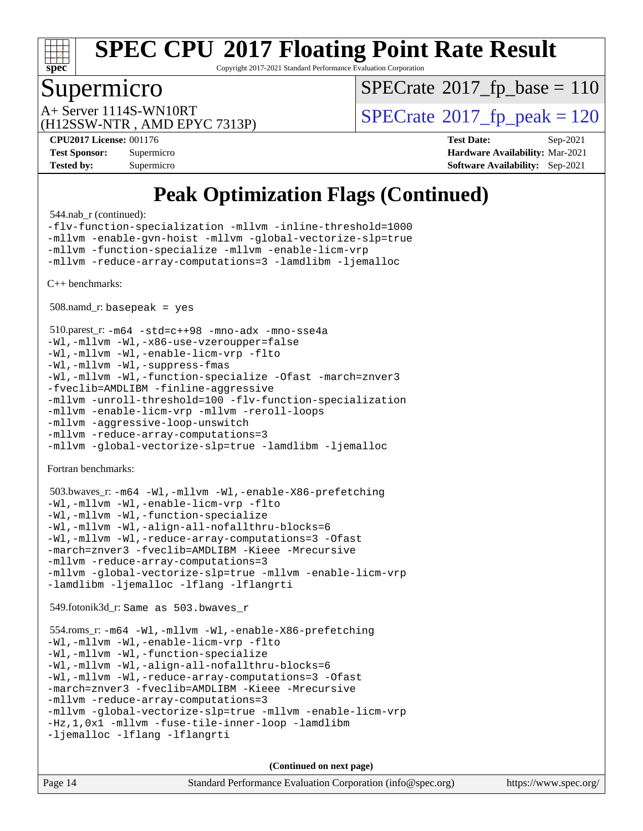

Copyright 2017-2021 Standard Performance Evaluation Corporation

#### Supermicro

 $SPECTate$ <sup>®</sup>[2017\\_fp\\_base =](http://www.spec.org/auto/cpu2017/Docs/result-fields.html#SPECrate2017fpbase) 110

(H12SSW-NTR , AMD EPYC 7313P)

 $A+$  Server 1114S-WN10RT  $\begin{array}{c|c}\n\text{SPECrate} \text{\textdegree}2017\_fp\_peak = 120\n\end{array}$  $\begin{array}{c|c}\n\text{SPECrate} \text{\textdegree}2017\_fp\_peak = 120\n\end{array}$  $\begin{array}{c|c}\n\text{SPECrate} \text{\textdegree}2017\_fp\_peak = 120\n\end{array}$ 

**[CPU2017 License:](http://www.spec.org/auto/cpu2017/Docs/result-fields.html#CPU2017License)** 001176 **[Test Date:](http://www.spec.org/auto/cpu2017/Docs/result-fields.html#TestDate)** Sep-2021 **[Test Sponsor:](http://www.spec.org/auto/cpu2017/Docs/result-fields.html#TestSponsor)** Supermicro **[Hardware Availability:](http://www.spec.org/auto/cpu2017/Docs/result-fields.html#HardwareAvailability)** Mar-2021 **[Tested by:](http://www.spec.org/auto/cpu2017/Docs/result-fields.html#Testedby)** Supermicro **[Software Availability:](http://www.spec.org/auto/cpu2017/Docs/result-fields.html#SoftwareAvailability)** Sep-2021

## **[Peak Optimization Flags \(Continued\)](http://www.spec.org/auto/cpu2017/Docs/result-fields.html#PeakOptimizationFlags)**

544.nab\_r (continued):

[-flv-function-specialization](http://www.spec.org/cpu2017/results/res2021q4/cpu2017-20211012-29723.flags.html#user_peakCOPTIMIZE544_nab_r_F-flv-function-specialization) [-mllvm -inline-threshold=1000](http://www.spec.org/cpu2017/results/res2021q4/cpu2017-20211012-29723.flags.html#user_peakCOPTIMIZE544_nab_r_F-inline-threshold_b7832241b0a6397e4ecdbaf0eb7defdc10f885c2a282fa3240fdc99844d543fda39cf8a4a9dccf68cf19b5438ac3b455264f478df15da0f4988afa40d8243bab) [-mllvm -enable-gvn-hoist](http://www.spec.org/cpu2017/results/res2021q4/cpu2017-20211012-29723.flags.html#user_peakCOPTIMIZE544_nab_r_F-enable-gvn-hoist_e5856354646dd6ca1333a0ad99b817e4cf8932b91b82809fd8fd47ceff7b22a89eba5c98fd3e3fa5200368fd772cec3dd56abc3c8f7b655a71b9f9848dddedd5) [-mllvm -global-vectorize-slp=true](http://www.spec.org/cpu2017/results/res2021q4/cpu2017-20211012-29723.flags.html#user_peakCOPTIMIZE544_nab_r_F-global-vectorize-slp_f701c289ed3fc79483844cad3672606d268e3123d2651e764a36e57810b634b30ff7af25c43ce4288d0e4c1cc47ba156fce6ed971bc0d0e53c4c557f353d3dec) [-mllvm -function-specialize](http://www.spec.org/cpu2017/results/res2021q4/cpu2017-20211012-29723.flags.html#user_peakCOPTIMIZE544_nab_r_F-function-specialize_233b3bdba86027f1b094368157e481c5bc59f40286dc25bfadc1858dcd5745c24fd30d5f188710db7fea399bcc9f44a80b3ce3aacc70a8870250c3ae5e1f35b8) [-mllvm -enable-licm-vrp](http://www.spec.org/cpu2017/results/res2021q4/cpu2017-20211012-29723.flags.html#user_peakCOPTIMIZE544_nab_r_F-enable-licm-vrp_82fd83574dee81d8c8043a1355024a53ba7c23d449242d72368fd778ae4cd8625fb6c8e473e88c632367ccc13b0c321b9a13b8db897fcfc1592cf0205fd356b5) [-mllvm -reduce-array-computations=3](http://www.spec.org/cpu2017/results/res2021q4/cpu2017-20211012-29723.flags.html#user_peakCOPTIMIZE544_nab_r_F-reduce-array-computations) [-lamdlibm](http://www.spec.org/cpu2017/results/res2021q4/cpu2017-20211012-29723.flags.html#user_peakEXTRA_LIBS544_nab_r_F-lamdlibm) [-ljemalloc](http://www.spec.org/cpu2017/results/res2021q4/cpu2017-20211012-29723.flags.html#user_peakEXTRA_LIBS544_nab_r_jemalloc-lib)

[C++ benchmarks:](http://www.spec.org/auto/cpu2017/Docs/result-fields.html#CXXbenchmarks)

 $508$ .namd\_r: basepeak = yes

```
 510.parest_r: -m64 -std=c++98 -mno-adx -mno-sse4a
-Wl,-mllvm -Wl,-x86-use-vzeroupper=false
-Wl,-mllvm -Wl,-enable-licm-vrp -flto
-Wl,-mllvm -Wl,-suppress-fmas
-Wl,-mllvm -Wl,-function-specialize -Ofast -march=znver3
-fveclib=AMDLIBM -finline-aggressive
-mllvm -unroll-threshold=100 -flv-function-specialization
-mllvm -enable-licm-vrp -mllvm -reroll-loops
-mllvm -aggressive-loop-unswitch
-mllvm -reduce-array-computations=3
-mllvm -global-vectorize-slp=true -lamdlibm -ljemalloc
```
[Fortran benchmarks](http://www.spec.org/auto/cpu2017/Docs/result-fields.html#Fortranbenchmarks):

```
 503.bwaves_r: -m64 -Wl,-mllvm -Wl,-enable-X86-prefetching
-Wl,-mllvm -Wl,-enable-licm-vrp -flto
-Wl,-mllvm -Wl,-function-specialize
-Wl,-mllvm -Wl,-align-all-nofallthru-blocks=6
-Wl,-mllvm -Wl,-reduce-array-computations=3 -Ofast
-march=znver3 -fveclib=AMDLIBM -Kieee -Mrecursive
-mllvm -reduce-array-computations=3
-mllvm -global-vectorize-slp=true -mllvm -enable-licm-vrp
-lamdlibm -ljemalloc -lflang -lflangrti
```
549.fotonik3d\_r: Same as 503.bwaves\_r

```
 554.roms_r: -m64 -Wl,-mllvm -Wl,-enable-X86-prefetching
-Wl,-mllvm -Wl,-enable-licm-vrp -flto
-Wl,-mllvm -Wl,-function-specialize
-Wl,-mllvm -Wl,-align-all-nofallthru-blocks=6
-Wl,-mllvm -Wl,-reduce-array-computations=3 -Ofast
-march=znver3 -fveclib=AMDLIBM -Kieee -Mrecursive
-mllvm -reduce-array-computations=3
-mllvm -global-vectorize-slp=true -mllvm -enable-licm-vrp
-Hz,1,0x1 -mllvm -fuse-tile-inner-loop -lamdlibm
-ljemalloc -lflang -lflangrti
```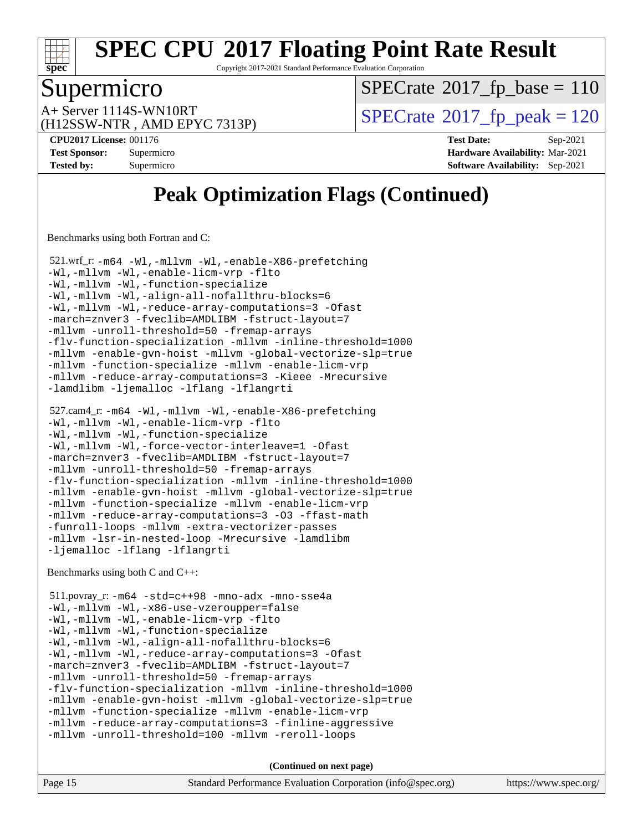

Copyright 2017-2021 Standard Performance Evaluation Corporation

#### Supermicro

 $SPECTate$ <sup>®</sup>[2017\\_fp\\_base =](http://www.spec.org/auto/cpu2017/Docs/result-fields.html#SPECrate2017fpbase) 110

(H12SSW-NTR , AMD EPYC 7313P)

 $A+$  Server 1114S-WN10RT  $\begin{array}{c|c}\n\text{SPECrate} \text{\textdegree}2017\_fp\_peak = 120\n\end{array}$  $\begin{array}{c|c}\n\text{SPECrate} \text{\textdegree}2017\_fp\_peak = 120\n\end{array}$  $\begin{array}{c|c}\n\text{SPECrate} \text{\textdegree}2017\_fp\_peak = 120\n\end{array}$ 

**[CPU2017 License:](http://www.spec.org/auto/cpu2017/Docs/result-fields.html#CPU2017License)** 001176 **[Test Date:](http://www.spec.org/auto/cpu2017/Docs/result-fields.html#TestDate)** Sep-2021 **[Test Sponsor:](http://www.spec.org/auto/cpu2017/Docs/result-fields.html#TestSponsor)** Supermicro **[Hardware Availability:](http://www.spec.org/auto/cpu2017/Docs/result-fields.html#HardwareAvailability)** Mar-2021 **[Tested by:](http://www.spec.org/auto/cpu2017/Docs/result-fields.html#Testedby)** Supermicro **[Software Availability:](http://www.spec.org/auto/cpu2017/Docs/result-fields.html#SoftwareAvailability)** Sep-2021

## **[Peak Optimization Flags \(Continued\)](http://www.spec.org/auto/cpu2017/Docs/result-fields.html#PeakOptimizationFlags)**

[Benchmarks using both Fortran and C](http://www.spec.org/auto/cpu2017/Docs/result-fields.html#BenchmarksusingbothFortranandC):

 521.wrf\_r: [-m64](http://www.spec.org/cpu2017/results/res2021q4/cpu2017-20211012-29723.flags.html#user_peakCCFCLD521_wrf_r_F-m64) [-Wl,-mllvm -Wl,-enable-X86-prefetching](http://www.spec.org/cpu2017/results/res2021q4/cpu2017-20211012-29723.flags.html#user_peakLDFFLAGS521_wrf_r_F-enable-X86-prefetching_362de7b2f7f327d498ff3502bcaa6d8937de40fbbc59a600e539433e6b2cb9ea5e30d4a00c3465ce74a160670b5fcaffd57d10fdc90b0d7ee2c6f387a6bf1aee) [-Wl,-mllvm -Wl,-enable-licm-vrp](http://www.spec.org/cpu2017/results/res2021q4/cpu2017-20211012-29723.flags.html#user_peakLDFFLAGS521_wrf_r_F-enable-licm-vrp_65c4fc69039207ec88421e1591ba3bbf2ac715c2f390cac268ece6f40ae7757bd65f971ef38c9b70aedd2bf37e4037d3d64a7fe88db6aed78b6f244274772259) [-flto](http://www.spec.org/cpu2017/results/res2021q4/cpu2017-20211012-29723.flags.html#user_peakCOPTIMIZEEXTRA_LDFLAGSFOPTIMIZE521_wrf_r_aocc-flto) [-Wl,-mllvm -Wl,-function-specialize](http://www.spec.org/cpu2017/results/res2021q4/cpu2017-20211012-29723.flags.html#user_peakEXTRA_LDFLAGS521_wrf_r_F-function-specialize_7e7e661e57922243ee67c9a1251cb8910e607325179a0ce7f2884e09a6f5d4a5ef0ae4f37e8a2a11c95fc48e931f06dc2b6016f14b511fcb441e048bef1b065a) [-Wl,-mllvm -Wl,-align-all-nofallthru-blocks=6](http://www.spec.org/cpu2017/results/res2021q4/cpu2017-20211012-29723.flags.html#user_peakEXTRA_LDFLAGS521_wrf_r_F-align-all-nofallthru-blocks) [-Wl,-mllvm -Wl,-reduce-array-computations=3](http://www.spec.org/cpu2017/results/res2021q4/cpu2017-20211012-29723.flags.html#user_peakEXTRA_LDFLAGS521_wrf_r_F-reduce-array-computations_b882aefe7a5dda4e33149f6299762b9a720dace3e498e13756f4c04e5a19edf5315c1f3993de2e61ec41e8c206231f84e05da7040e1bb5d69ba27d10a12507e4) [-Ofast](http://www.spec.org/cpu2017/results/res2021q4/cpu2017-20211012-29723.flags.html#user_peakCOPTIMIZEFOPTIMIZE521_wrf_r_aocc-Ofast) [-march=znver3](http://www.spec.org/cpu2017/results/res2021q4/cpu2017-20211012-29723.flags.html#user_peakCOPTIMIZEFOPTIMIZE521_wrf_r_aocc-march) [-fveclib=AMDLIBM](http://www.spec.org/cpu2017/results/res2021q4/cpu2017-20211012-29723.flags.html#user_peakCOPTIMIZEFOPTIMIZE521_wrf_r_F-fveclib) [-fstruct-layout=7](http://www.spec.org/cpu2017/results/res2021q4/cpu2017-20211012-29723.flags.html#user_peakCOPTIMIZE521_wrf_r_F-struct-layout_bb5ca1df7367e944cc4ca61612cc03d98834394c255cd0c6192b74953ffa1609f9fc38f5f1e72e3b07e2e558865a0ecfad5df250ac72d4e5924673196dbcdf1c) [-mllvm -unroll-threshold=50](http://www.spec.org/cpu2017/results/res2021q4/cpu2017-20211012-29723.flags.html#user_peakCOPTIMIZE521_wrf_r_F-unroll-threshold_458874500b2c105d6d5cb4d7a611c40e2b16e9e3d26b355fea72d644c3673b4de4b3932662f0ed3dbec75c491a13da2d2ca81180bd779dc531083ef1e1e549dc) [-fremap-arrays](http://www.spec.org/cpu2017/results/res2021q4/cpu2017-20211012-29723.flags.html#user_peakCOPTIMIZE521_wrf_r_F-fremap-arrays) [-flv-function-specialization](http://www.spec.org/cpu2017/results/res2021q4/cpu2017-20211012-29723.flags.html#user_peakCOPTIMIZE521_wrf_r_F-flv-function-specialization) [-mllvm -inline-threshold=1000](http://www.spec.org/cpu2017/results/res2021q4/cpu2017-20211012-29723.flags.html#user_peakCOPTIMIZE521_wrf_r_F-inline-threshold_b7832241b0a6397e4ecdbaf0eb7defdc10f885c2a282fa3240fdc99844d543fda39cf8a4a9dccf68cf19b5438ac3b455264f478df15da0f4988afa40d8243bab) [-mllvm -enable-gvn-hoist](http://www.spec.org/cpu2017/results/res2021q4/cpu2017-20211012-29723.flags.html#user_peakCOPTIMIZE521_wrf_r_F-enable-gvn-hoist_e5856354646dd6ca1333a0ad99b817e4cf8932b91b82809fd8fd47ceff7b22a89eba5c98fd3e3fa5200368fd772cec3dd56abc3c8f7b655a71b9f9848dddedd5) [-mllvm -global-vectorize-slp=true](http://www.spec.org/cpu2017/results/res2021q4/cpu2017-20211012-29723.flags.html#user_peakCOPTIMIZEFOPTIMIZE521_wrf_r_F-global-vectorize-slp_f701c289ed3fc79483844cad3672606d268e3123d2651e764a36e57810b634b30ff7af25c43ce4288d0e4c1cc47ba156fce6ed971bc0d0e53c4c557f353d3dec) [-mllvm -function-specialize](http://www.spec.org/cpu2017/results/res2021q4/cpu2017-20211012-29723.flags.html#user_peakCOPTIMIZE521_wrf_r_F-function-specialize_233b3bdba86027f1b094368157e481c5bc59f40286dc25bfadc1858dcd5745c24fd30d5f188710db7fea399bcc9f44a80b3ce3aacc70a8870250c3ae5e1f35b8) [-mllvm -enable-licm-vrp](http://www.spec.org/cpu2017/results/res2021q4/cpu2017-20211012-29723.flags.html#user_peakCOPTIMIZEFOPTIMIZE521_wrf_r_F-enable-licm-vrp_82fd83574dee81d8c8043a1355024a53ba7c23d449242d72368fd778ae4cd8625fb6c8e473e88c632367ccc13b0c321b9a13b8db897fcfc1592cf0205fd356b5) [-mllvm -reduce-array-computations=3](http://www.spec.org/cpu2017/results/res2021q4/cpu2017-20211012-29723.flags.html#user_peakCOPTIMIZEFOPTIMIZE521_wrf_r_F-reduce-array-computations) [-Kieee](http://www.spec.org/cpu2017/results/res2021q4/cpu2017-20211012-29723.flags.html#user_peakFOPTIMIZE521_wrf_r_F-kieee) [-Mrecursive](http://www.spec.org/cpu2017/results/res2021q4/cpu2017-20211012-29723.flags.html#user_peakFOPTIMIZE521_wrf_r_F-mrecursive) [-lamdlibm](http://www.spec.org/cpu2017/results/res2021q4/cpu2017-20211012-29723.flags.html#user_peakEXTRA_LIBS521_wrf_r_F-lamdlibm) [-ljemalloc](http://www.spec.org/cpu2017/results/res2021q4/cpu2017-20211012-29723.flags.html#user_peakEXTRA_LIBS521_wrf_r_jemalloc-lib) [-lflang](http://www.spec.org/cpu2017/results/res2021q4/cpu2017-20211012-29723.flags.html#user_peakEXTRA_FLIBS521_wrf_r_F-lflang) [-lflangrti](http://www.spec.org/cpu2017/results/res2021q4/cpu2017-20211012-29723.flags.html#user_peakEXTRA_FLIBS521_wrf_r_F-lflangrti)

```
 527.cam4_r: -m64 -Wl,-mllvm -Wl,-enable-X86-prefetching
-Wl,-mllvm -Wl,-enable-licm-vrp -flto
-Wl,-mllvm -Wl,-function-specialize
-Wl,-mllvm -Wl,-force-vector-interleave=1 -Ofast
-march=znver3 -fveclib=AMDLIBM -fstruct-layout=7
-mllvm -unroll-threshold=50 -fremap-arrays
-flv-function-specialization -mllvm -inline-threshold=1000
-mllvm -enable-gvn-hoist -mllvm -global-vectorize-slp=true
-mllvm -function-specialize -mllvm -enable-licm-vrp
-mllvm -reduce-array-computations=3 -O3 -ffast-math
-funroll-loops -mllvm -extra-vectorizer-passes
-mllvm -lsr-in-nested-loop -Mrecursive -lamdlibm
-ljemalloc -lflang -lflangrti
```
[Benchmarks using both C and C++](http://www.spec.org/auto/cpu2017/Docs/result-fields.html#BenchmarksusingbothCandCXX):

```
 511.povray_r: -m64 -std=c++98 -mno-adx -mno-sse4a
-Wl,-mllvm -Wl,-x86-use-vzeroupper=false
-Wl,-mllvm -Wl,-enable-licm-vrp -flto
-Wl,-mllvm -Wl,-function-specialize
-Wl,-mllvm -Wl,-align-all-nofallthru-blocks=6
-Wl,-mllvm -Wl,-reduce-array-computations=3 -Ofast
-march=znver3 -fveclib=AMDLIBM -fstruct-layout=7
-mllvm -unroll-threshold=50 -fremap-arrays
-flv-function-specialization -mllvm -inline-threshold=1000
-mllvm -enable-gvn-hoist -mllvm -global-vectorize-slp=true
-mllvm -function-specialize -mllvm -enable-licm-vrp
-mllvm -reduce-array-computations=3 -finline-aggressive
-mllvm -unroll-threshold=100 -mllvm -reroll-loops
```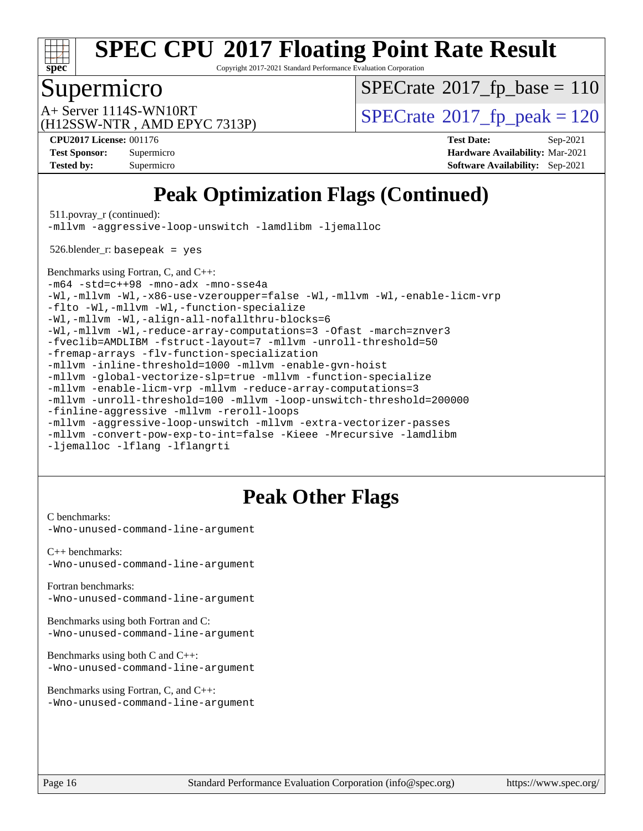

Copyright 2017-2021 Standard Performance Evaluation Corporation

## Supermicro

 $SPECrate$ <sup>®</sup>[2017\\_fp\\_base =](http://www.spec.org/auto/cpu2017/Docs/result-fields.html#SPECrate2017fpbase) 110

(H12SSW-NTR , AMD EPYC 7313P)

 $A+$  Server 1114S-WN10RT  $\begin{array}{c|c}\n\text{SPECrate} \text{\textdegree}2017\_fp\_peak = 120\n\end{array}$  $\begin{array}{c|c}\n\text{SPECrate} \text{\textdegree}2017\_fp\_peak = 120\n\end{array}$  $\begin{array}{c|c}\n\text{SPECrate} \text{\textdegree}2017\_fp\_peak = 120\n\end{array}$ 

**[Tested by:](http://www.spec.org/auto/cpu2017/Docs/result-fields.html#Testedby)** Supermicro **[Software Availability:](http://www.spec.org/auto/cpu2017/Docs/result-fields.html#SoftwareAvailability)** Sep-2021

**[CPU2017 License:](http://www.spec.org/auto/cpu2017/Docs/result-fields.html#CPU2017License)** 001176 **[Test Date:](http://www.spec.org/auto/cpu2017/Docs/result-fields.html#TestDate)** Sep-2021 **[Test Sponsor:](http://www.spec.org/auto/cpu2017/Docs/result-fields.html#TestSponsor)** Supermicro **[Hardware Availability:](http://www.spec.org/auto/cpu2017/Docs/result-fields.html#HardwareAvailability)** Mar-2021

## **[Peak Optimization Flags \(Continued\)](http://www.spec.org/auto/cpu2017/Docs/result-fields.html#PeakOptimizationFlags)**

511.povray\_r (continued):

[-mllvm -aggressive-loop-unswitch](http://www.spec.org/cpu2017/results/res2021q4/cpu2017-20211012-29723.flags.html#user_peakCXXOPTIMIZE511_povray_r_F-aggressive-loop-unswitch_abd8177005d493f9a81f88ae32814acdc0422950e54bc53b0605c538e2e7549eb43d48c826089056b98aa2f0c142dc7ed1401fa1c97db9286a8c3ff748437b59) [-lamdlibm](http://www.spec.org/cpu2017/results/res2021q4/cpu2017-20211012-29723.flags.html#user_peakEXTRA_LIBS511_povray_r_F-lamdlibm) [-ljemalloc](http://www.spec.org/cpu2017/results/res2021q4/cpu2017-20211012-29723.flags.html#user_peakEXTRA_LIBS511_povray_r_jemalloc-lib)

526.blender\_r: basepeak = yes

[Benchmarks using Fortran, C, and C++:](http://www.spec.org/auto/cpu2017/Docs/result-fields.html#BenchmarksusingFortranCandCXX) [-m64](http://www.spec.org/cpu2017/results/res2021q4/cpu2017-20211012-29723.flags.html#user_CC_CXX_FCpeak_F-m64) [-std=c++98](http://www.spec.org/cpu2017/results/res2021q4/cpu2017-20211012-29723.flags.html#user_CC_CXX_FCpeak_std-cpp) [-mno-adx](http://www.spec.org/cpu2017/results/res2021q4/cpu2017-20211012-29723.flags.html#user_CC_CXX_FCpeak_F-mno-adx) [-mno-sse4a](http://www.spec.org/cpu2017/results/res2021q4/cpu2017-20211012-29723.flags.html#user_CC_CXX_FCpeak_F-mno-sse4a) [-Wl,-mllvm -Wl,-x86-use-vzeroupper=false](http://www.spec.org/cpu2017/results/res2021q4/cpu2017-20211012-29723.flags.html#user_CC_CXX_FCpeak_F-use-vzeroupper_f792211b0552b0142c11cf651c85f88d7eca3e3e6d4ab29ab8b0b7be9c7d83df7aebb846b5dded1424ec84d39acb59d058815f97bc3ae9de4ba00ee4e2945c83) [-Wl,-mllvm -Wl,-enable-licm-vrp](http://www.spec.org/cpu2017/results/res2021q4/cpu2017-20211012-29723.flags.html#user_CC_CXX_FCpeak_F-enable-licm-vrp_65c4fc69039207ec88421e1591ba3bbf2ac715c2f390cac268ece6f40ae7757bd65f971ef38c9b70aedd2bf37e4037d3d64a7fe88db6aed78b6f244274772259) [-flto](http://www.spec.org/cpu2017/results/res2021q4/cpu2017-20211012-29723.flags.html#user_CC_CXX_FCpeak_aocc-flto) [-Wl,-mllvm -Wl,-function-specialize](http://www.spec.org/cpu2017/results/res2021q4/cpu2017-20211012-29723.flags.html#user_CC_CXX_FCpeak_F-function-specialize_7e7e661e57922243ee67c9a1251cb8910e607325179a0ce7f2884e09a6f5d4a5ef0ae4f37e8a2a11c95fc48e931f06dc2b6016f14b511fcb441e048bef1b065a) [-Wl,-mllvm -Wl,-align-all-nofallthru-blocks=6](http://www.spec.org/cpu2017/results/res2021q4/cpu2017-20211012-29723.flags.html#user_CC_CXX_FCpeak_F-align-all-nofallthru-blocks) [-Wl,-mllvm -Wl,-reduce-array-computations=3](http://www.spec.org/cpu2017/results/res2021q4/cpu2017-20211012-29723.flags.html#user_CC_CXX_FCpeak_F-reduce-array-computations_b882aefe7a5dda4e33149f6299762b9a720dace3e498e13756f4c04e5a19edf5315c1f3993de2e61ec41e8c206231f84e05da7040e1bb5d69ba27d10a12507e4) [-Ofast](http://www.spec.org/cpu2017/results/res2021q4/cpu2017-20211012-29723.flags.html#user_CC_CXX_FCpeak_aocc-Ofast) [-march=znver3](http://www.spec.org/cpu2017/results/res2021q4/cpu2017-20211012-29723.flags.html#user_CC_CXX_FCpeak_aocc-march) [-fveclib=AMDLIBM](http://www.spec.org/cpu2017/results/res2021q4/cpu2017-20211012-29723.flags.html#user_CC_CXX_FCpeak_F-fveclib) [-fstruct-layout=7](http://www.spec.org/cpu2017/results/res2021q4/cpu2017-20211012-29723.flags.html#user_CC_CXX_FCpeak_F-struct-layout_bb5ca1df7367e944cc4ca61612cc03d98834394c255cd0c6192b74953ffa1609f9fc38f5f1e72e3b07e2e558865a0ecfad5df250ac72d4e5924673196dbcdf1c) [-mllvm -unroll-threshold=50](http://www.spec.org/cpu2017/results/res2021q4/cpu2017-20211012-29723.flags.html#user_CC_CXX_FCpeak_F-unroll-threshold_458874500b2c105d6d5cb4d7a611c40e2b16e9e3d26b355fea72d644c3673b4de4b3932662f0ed3dbec75c491a13da2d2ca81180bd779dc531083ef1e1e549dc) [-fremap-arrays](http://www.spec.org/cpu2017/results/res2021q4/cpu2017-20211012-29723.flags.html#user_CC_CXX_FCpeak_F-fremap-arrays) [-flv-function-specialization](http://www.spec.org/cpu2017/results/res2021q4/cpu2017-20211012-29723.flags.html#user_CC_CXX_FCpeak_F-flv-function-specialization) [-mllvm -inline-threshold=1000](http://www.spec.org/cpu2017/results/res2021q4/cpu2017-20211012-29723.flags.html#user_CC_CXX_FCpeak_F-inline-threshold_b7832241b0a6397e4ecdbaf0eb7defdc10f885c2a282fa3240fdc99844d543fda39cf8a4a9dccf68cf19b5438ac3b455264f478df15da0f4988afa40d8243bab) [-mllvm -enable-gvn-hoist](http://www.spec.org/cpu2017/results/res2021q4/cpu2017-20211012-29723.flags.html#user_CC_CXX_FCpeak_F-enable-gvn-hoist_e5856354646dd6ca1333a0ad99b817e4cf8932b91b82809fd8fd47ceff7b22a89eba5c98fd3e3fa5200368fd772cec3dd56abc3c8f7b655a71b9f9848dddedd5) [-mllvm -global-vectorize-slp=true](http://www.spec.org/cpu2017/results/res2021q4/cpu2017-20211012-29723.flags.html#user_CC_CXX_FCpeak_F-global-vectorize-slp_f701c289ed3fc79483844cad3672606d268e3123d2651e764a36e57810b634b30ff7af25c43ce4288d0e4c1cc47ba156fce6ed971bc0d0e53c4c557f353d3dec) [-mllvm -function-specialize](http://www.spec.org/cpu2017/results/res2021q4/cpu2017-20211012-29723.flags.html#user_CC_CXX_FCpeak_F-function-specialize_233b3bdba86027f1b094368157e481c5bc59f40286dc25bfadc1858dcd5745c24fd30d5f188710db7fea399bcc9f44a80b3ce3aacc70a8870250c3ae5e1f35b8) [-mllvm -enable-licm-vrp](http://www.spec.org/cpu2017/results/res2021q4/cpu2017-20211012-29723.flags.html#user_CC_CXX_FCpeak_F-enable-licm-vrp_82fd83574dee81d8c8043a1355024a53ba7c23d449242d72368fd778ae4cd8625fb6c8e473e88c632367ccc13b0c321b9a13b8db897fcfc1592cf0205fd356b5) [-mllvm -reduce-array-computations=3](http://www.spec.org/cpu2017/results/res2021q4/cpu2017-20211012-29723.flags.html#user_CC_CXX_FCpeak_F-reduce-array-computations) [-mllvm -unroll-threshold=100](http://www.spec.org/cpu2017/results/res2021q4/cpu2017-20211012-29723.flags.html#user_CC_CXX_FCpeak_F-unroll-threshold) [-mllvm -loop-unswitch-threshold=200000](http://www.spec.org/cpu2017/results/res2021q4/cpu2017-20211012-29723.flags.html#user_CC_CXX_FCpeak_F-loop-unswitch-threshold_f9a82ae3270e55b5fbf79d0d96ee93606b73edbbe527d20b18b7bff1a3a146ad50cfc7454c5297978340ae9213029016a7d16221274d672d3f7f42ed25274e1d) [-finline-aggressive](http://www.spec.org/cpu2017/results/res2021q4/cpu2017-20211012-29723.flags.html#user_CC_CXX_FCpeak_F-finline-aggressive) [-mllvm -reroll-loops](http://www.spec.org/cpu2017/results/res2021q4/cpu2017-20211012-29723.flags.html#user_CC_CXX_FCpeak_F-reroll-loops) [-mllvm -aggressive-loop-unswitch](http://www.spec.org/cpu2017/results/res2021q4/cpu2017-20211012-29723.flags.html#user_CC_CXX_FCpeak_F-aggressive-loop-unswitch_abd8177005d493f9a81f88ae32814acdc0422950e54bc53b0605c538e2e7549eb43d48c826089056b98aa2f0c142dc7ed1401fa1c97db9286a8c3ff748437b59) [-mllvm -extra-vectorizer-passes](http://www.spec.org/cpu2017/results/res2021q4/cpu2017-20211012-29723.flags.html#user_CC_CXX_FCpeak_F-extra-vectorizer-passes_4bb9f90681e045f5ce38050c5c48e52c5a95ed819cbc44e12f6b389a91a38f1bfb7d9f51b06906bf2bd7ccd881019f6383c418982c71e3a142c10a060056d555) [-mllvm -convert-pow-exp-to-int=false](http://www.spec.org/cpu2017/results/res2021q4/cpu2017-20211012-29723.flags.html#user_CC_CXX_FCpeak_F-convert-pow-exp-to-int_48075d7f300181d7350b7c152e089ba974e4acf53c583458eae87b0ecd6f9aa5a8546e2797aca77a784d497b972647cfd65b81c02996ee1106af5ba1043433c1) [-Kieee](http://www.spec.org/cpu2017/results/res2021q4/cpu2017-20211012-29723.flags.html#user_CC_CXX_FCpeak_F-kieee) [-Mrecursive](http://www.spec.org/cpu2017/results/res2021q4/cpu2017-20211012-29723.flags.html#user_CC_CXX_FCpeak_F-mrecursive) [-lamdlibm](http://www.spec.org/cpu2017/results/res2021q4/cpu2017-20211012-29723.flags.html#user_CC_CXX_FCpeak_F-lamdlibm) [-ljemalloc](http://www.spec.org/cpu2017/results/res2021q4/cpu2017-20211012-29723.flags.html#user_CC_CXX_FCpeak_jemalloc-lib) [-lflang](http://www.spec.org/cpu2017/results/res2021q4/cpu2017-20211012-29723.flags.html#user_CC_CXX_FCpeak_F-lflang) [-lflangrti](http://www.spec.org/cpu2017/results/res2021q4/cpu2017-20211012-29723.flags.html#user_CC_CXX_FCpeak_F-lflangrti)

## **[Peak Other Flags](http://www.spec.org/auto/cpu2017/Docs/result-fields.html#PeakOtherFlags)**

[C benchmarks](http://www.spec.org/auto/cpu2017/Docs/result-fields.html#Cbenchmarks): [-Wno-unused-command-line-argument](http://www.spec.org/cpu2017/results/res2021q4/cpu2017-20211012-29723.flags.html#user_CCpeak_F-Wno-unused-command-line-argument)

[C++ benchmarks:](http://www.spec.org/auto/cpu2017/Docs/result-fields.html#CXXbenchmarks) [-Wno-unused-command-line-argument](http://www.spec.org/cpu2017/results/res2021q4/cpu2017-20211012-29723.flags.html#user_CXXpeak_F-Wno-unused-command-line-argument)

[Fortran benchmarks](http://www.spec.org/auto/cpu2017/Docs/result-fields.html#Fortranbenchmarks): [-Wno-unused-command-line-argument](http://www.spec.org/cpu2017/results/res2021q4/cpu2017-20211012-29723.flags.html#user_FCpeak_F-Wno-unused-command-line-argument)

[Benchmarks using both Fortran and C](http://www.spec.org/auto/cpu2017/Docs/result-fields.html#BenchmarksusingbothFortranandC): [-Wno-unused-command-line-argument](http://www.spec.org/cpu2017/results/res2021q4/cpu2017-20211012-29723.flags.html#user_CC_FCpeak_F-Wno-unused-command-line-argument)

[Benchmarks using both C and C++](http://www.spec.org/auto/cpu2017/Docs/result-fields.html#BenchmarksusingbothCandCXX): [-Wno-unused-command-line-argument](http://www.spec.org/cpu2017/results/res2021q4/cpu2017-20211012-29723.flags.html#user_CC_CXXpeak_F-Wno-unused-command-line-argument)

[Benchmarks using Fortran, C, and C++:](http://www.spec.org/auto/cpu2017/Docs/result-fields.html#BenchmarksusingFortranCandCXX) [-Wno-unused-command-line-argument](http://www.spec.org/cpu2017/results/res2021q4/cpu2017-20211012-29723.flags.html#user_CC_CXX_FCpeak_F-Wno-unused-command-line-argument)